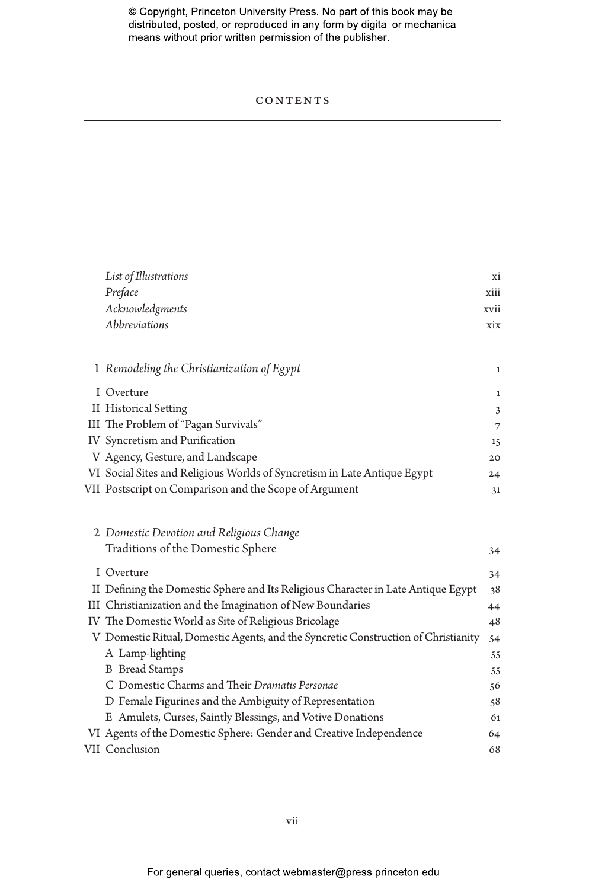#### CONTENTS

| List of Illustrations                                                              | xi      |
|------------------------------------------------------------------------------------|---------|
| Preface                                                                            | xiii    |
| Acknowledgments                                                                    | xvii    |
| Abbreviations                                                                      | xix     |
|                                                                                    |         |
| 1 Remodeling the Christianization of Egypt                                         | 1       |
| I Overture                                                                         | 1       |
| II Historical Setting                                                              | 3       |
| III The Problem of "Pagan Survivals"                                               | 7       |
| IV Syncretism and Purification                                                     | 15      |
| V Agency, Gesture, and Landscape                                                   | 20      |
| VI Social Sites and Religious Worlds of Syncretism in Late Antique Egypt           | $^{24}$ |
| VII Postscript on Comparison and the Scope of Argument                             | 31      |
|                                                                                    |         |
| 2 Domestic Devotion and Religious Change                                           |         |
| Traditions of the Domestic Sphere                                                  | 34      |
| I Overture                                                                         | 34      |
| II Defining the Domestic Sphere and Its Religious Character in Late Antique Egypt  | 38      |
| III Christianization and the Imagination of New Boundaries                         | 44      |
| IV The Domestic World as Site of Religious Bricolage                               | 48      |
| V Domestic Ritual, Domestic Agents, and the Syncretic Construction of Christianity | 54      |
| A Lamp-lighting                                                                    | 55      |
| <b>B</b> Bread Stamps                                                              | 55      |
| C Domestic Charms and Their Dramatis Personae                                      | 56      |
| D Female Figurines and the Ambiguity of Representation                             | 58      |
| E Amulets, Curses, Saintly Blessings, and Votive Donations                         | 61      |
| VI Agents of the Domestic Sphere: Gender and Creative Independence                 | 64      |
| VII Conclusion                                                                     | 68      |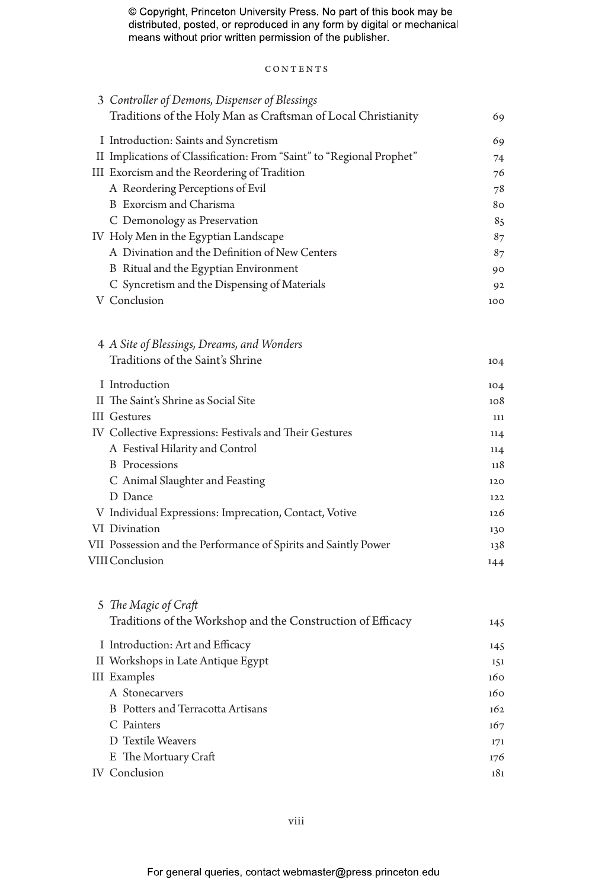## contents

| 3 Controller of Demons, Dispenser of Blessings                        |     |
|-----------------------------------------------------------------------|-----|
| Traditions of the Holy Man as Craftsman of Local Christianity         | 69  |
| I Introduction: Saints and Syncretism                                 | 69  |
| II Implications of Classification: From "Saint" to "Regional Prophet" | 74  |
| III Exorcism and the Reordering of Tradition                          | 76  |
| A Reordering Perceptions of Evil                                      | 78  |
| <b>B</b> Exorcism and Charisma                                        | 80  |
| C Demonology as Preservation                                          | 85  |
| IV Holy Men in the Egyptian Landscape                                 | 87  |
| A Divination and the Definition of New Centers                        | 87  |
| B Ritual and the Egyptian Environment                                 | 90  |
| C Syncretism and the Dispensing of Materials                          | 92  |
| V Conclusion                                                          | 100 |
| 4 A Site of Blessings, Dreams, and Wonders                            |     |
| Traditions of the Saint's Shrine                                      | 104 |

| I Introduction                                                  | 104 |
|-----------------------------------------------------------------|-----|
| II The Saint's Shrine as Social Site                            | 108 |
| III Gestures                                                    | 111 |
| IV Collective Expressions: Festivals and Their Gestures         | 114 |
| A Festival Hilarity and Control                                 | 114 |
| <b>B</b> Processions                                            | 118 |
| C Animal Slaughter and Feasting                                 | 120 |
| D Dance                                                         | 122 |
| V Individual Expressions: Imprecation, Contact, Votive          | 126 |
| VI Divination                                                   | 130 |
| VII Possession and the Performance of Spirits and Saintly Power | 138 |
| <b>VIII Conclusion</b>                                          | 144 |

| 5 The Magic of Craft                                        |     |
|-------------------------------------------------------------|-----|
| Traditions of the Workshop and the Construction of Efficacy | 145 |
| I Introduction: Art and Efficacy                            | 145 |
| II Workshops in Late Antique Egypt                          | 151 |
| III Examples                                                | 160 |
| A Stonecarvers                                              | 160 |
| B Potters and Terracotta Artisans                           | 162 |
| C. Painters                                                 | 167 |
| D Textile Weavers                                           | 171 |
| E The Mortuary Craft                                        | 176 |
| <b>IV</b> Conclusion                                        | 181 |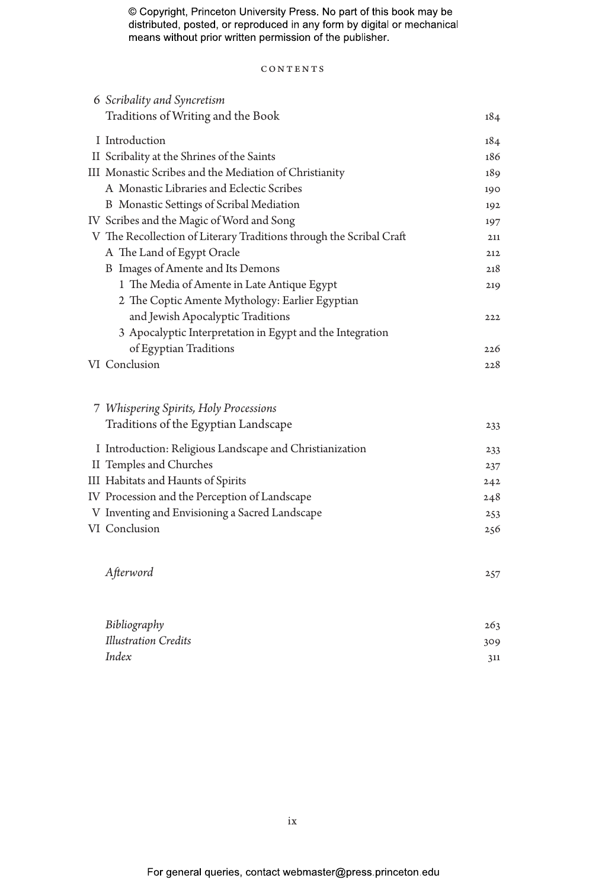## contents

| 6 Scribality and Syncretism                                         |     |
|---------------------------------------------------------------------|-----|
| Traditions of Writing and the Book                                  | 184 |
| I Introduction                                                      | 184 |
| II Scribality at the Shrines of the Saints                          | 186 |
| III Monastic Scribes and the Mediation of Christianity              | 189 |
| A Monastic Libraries and Eclectic Scribes                           | 190 |
| B Monastic Settings of Scribal Mediation                            | 192 |
| IV Scribes and the Magic of Word and Song                           | 197 |
| V The Recollection of Literary Traditions through the Scribal Craft | 211 |
| A The Land of Egypt Oracle                                          | 212 |
| B Images of Amente and Its Demons                                   | 218 |
| 1 The Media of Amente in Late Antique Egypt                         | 219 |
| 2 The Coptic Amente Mythology: Earlier Egyptian                     |     |
| and Jewish Apocalyptic Traditions                                   | 222 |
| 3 Apocalyptic Interpretation in Egypt and the Integration           |     |
| of Egyptian Traditions                                              | 226 |
| VI Conclusion                                                       | 228 |
| 7 Whispering Spirits, Holy Processions                              |     |
| Traditions of the Egyptian Landscape                                | 233 |
| I Introduction: Religious Landscape and Christianization            | 233 |
| II Temples and Churches                                             | 237 |
| III Habitats and Haunts of Spirits                                  | 242 |
| IV Procession and the Perception of Landscape                       | 248 |
| V Inventing and Envisioning a Sacred Landscape                      | 253 |
| VI Conclusion                                                       | 256 |
| Afterword                                                           | 257 |
|                                                                     |     |

| Bibliography         | 263 |
|----------------------|-----|
| Illustration Credits | 309 |
| Index                | 311 |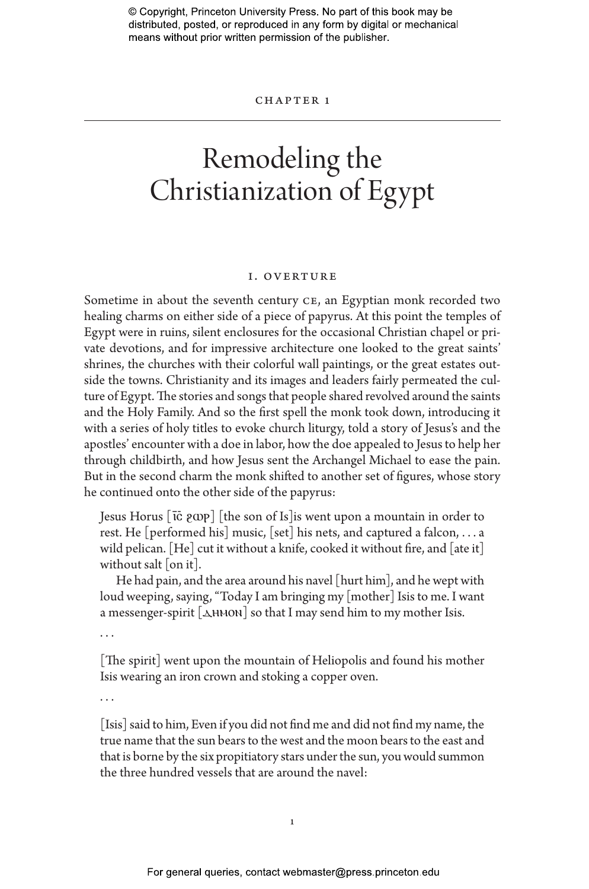#### CHAPTER 1

# Remodeling the Christianization of Egypt

#### I. Overture

Sometime in about the seventh century CE, an Egyptian monk recorded two healing charms on either side of a piece of papyrus. At this point the temples of Egypt were in ruins, silent enclosures for the occasional Christian chapel or private devotions, and for impressive architecture one looked to the great saints' shrines, the churches with their colorful wall paintings, or the great estates outside the towns. Christianity and its images and leaders fairly permeated the culture of Egypt. The stories and songs that people shared revolved around the saints and the Holy Family. And so the first spell the monk took down, introducing it with a series of holy titles to evoke church liturgy, told a story of Jesus's and the apostles' encounter with a doe in labor, how the doe appealed to Jesus to help her through childbirth, and how Jesus sent the Archangel Michael to ease the pain. But in the second charm the monk shifted to another set of figures, whose story he continued onto the other side of the papyrus:

Jesus Horus  $\lceil \overline{\text{ic}} \rceil$  {the son of Is is went upon a mountain in order to rest. He [performed his] music, [set] his nets, and captured a falcon, . . . a wild pelican. [He] cut it without a knife, cooked it without fire, and [ate it] without salt [on it].

He had pain, and the area around his navel [hurt him], and he wept with loud weeping, saying, "Today I am bringing my [mother] Isis to me. I want a messenger-spirit  $\lceil \Delta H MON \rceil$  so that I may send him to my mother Isis.

. . .

[The spirit] went upon the mountain of Heliopolis and found his mother Isis wearing an iron crown and stoking a copper oven.

. . .

[Isis] said to him, Even if you did not find me and did not find my name, the true name that the sun bears to the west and the moon bears to the east and that is borne by the six propitiatory stars under the sun, you would summon the three hundred vessels that are around the navel: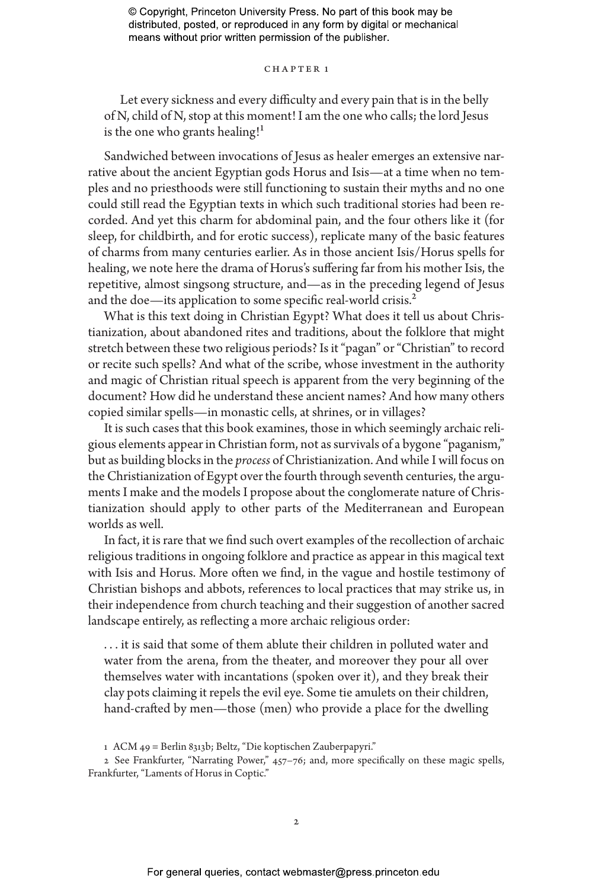#### chapter 1

Let every sickness and every difficulty and every pain that is in the belly of N, child of N, stop at this moment! I am the one who calls; the lord Jesus is the one who grants healing! $1$ 

Sandwiched between invocations of Jesus as healer emerges an extensive narrative about the ancient Egyptian gods Horus and Isis—at a time when no temples and no priesthoods were still functioning to sustain their myths and no one could still read the Egyptian texts in which such traditional stories had been recorded. And yet this charm for abdominal pain, and the four others like it (for sleep, for childbirth, and for erotic success), replicate many of the basic features of charms from many centuries earlier. As in those ancient Isis/Horus spells for healing, we note here the drama of Horus's suffering far from his mother Isis, the repetitive, almost singsong structure, and—as in the preceding legend of Jesus and the doe—its application to some specific real-world crisis.<sup>2</sup>

What is this text doing in Christian Egypt? What does it tell us about Christianization, about abandoned rites and traditions, about the folklore that might stretch between these two religious periods? Is it "pagan" or "Christian" to record or recite such spells? And what of the scribe, whose investment in the authority and magic of Christian ritual speech is apparent from the very beginning of the document? How did he understand these ancient names? And how many others copied similar spells—in monastic cells, at shrines, or in villages?

It is such cases that this book examines, those in which seemingly archaic religious elements appear in Christian form, not as survivals of a bygone "paganism," but as building blocks in the *process* of Christianization. And while I will focus on the Christianization of Egypt over the fourth through seventh centuries, the arguments I make and the models I propose about the conglomerate nature of Christianization should apply to other parts of the Mediterranean and European worlds as well.

In fact, it is rare that we find such overt examples of the recollection of archaic religious traditions in ongoing folklore and practice as appear in this magical text with Isis and Horus. More often we find, in the vague and hostile testimony of Christian bishops and abbots, references to local practices that may strike us, in their independence from church teaching and their suggestion of another sacred landscape entirely, as reflecting a more archaic religious order:

. . . it is said that some of them ablute their children in polluted water and water from the arena, from the theater, and moreover they pour all over themselves water with incantations (spoken over it), and they break their clay pots claiming it repels the evil eye. Some tie amulets on their children, hand-crafted by men—those (men) who provide a place for the dwelling

<sup>1</sup> ACM 49 = Berlin 8313b; Beltz, "Die koptischen Zauberpapyri."

<sup>2</sup> See Frankfurter, "Narrating Power," 457–76; and, more specifically on these magic spells, Frankfurter, "Laments of Horus in Coptic."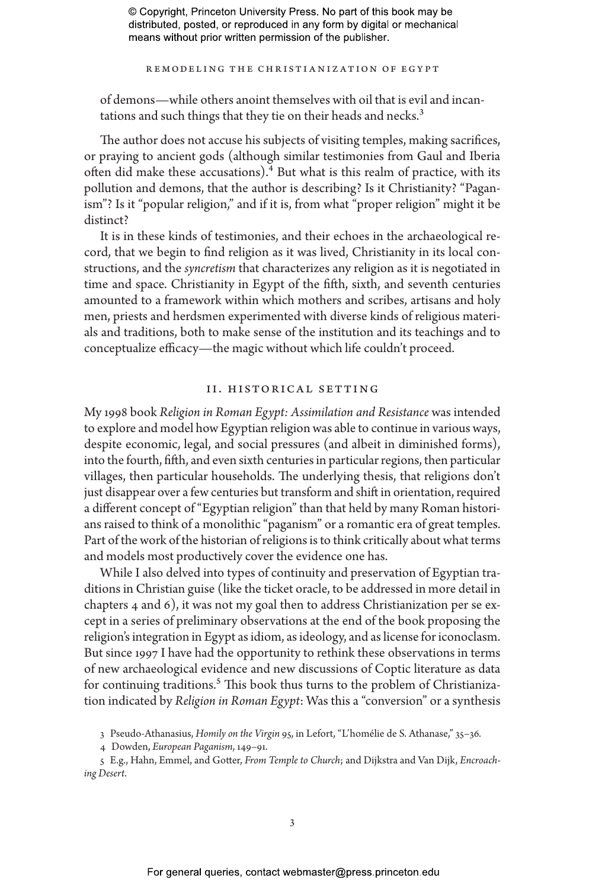REMODELING THE CHRISTIANIZATION OF EGYPT

of demons—while others anoint themselves with oil that is evil and incantations and such things that they tie on their heads and necks.<sup>3</sup>

The author does not accuse his subjects of visiting temples, making sacrifices, or praying to ancient gods (although similar testimonies from Gaul and Iberia often did make these accusations).4 But what is this realm of practice, with its pollution and demons, that the author is describing? Is it Christianity? "Paganism"? Is it "popular religion," and if it is, from what "proper religion" might it be distinct?

It is in these kinds of testimonies, and their echoes in the archaeological record, that we begin to find religion as it was lived, Christianity in its local constructions, and the *syncretism* that characterizes any religion as it is negotiated in time and space. Christianity in Egypt of the fifth, sixth, and seventh centuries amounted to a framework within which mothers and scribes, artisans and holy men, priests and herdsmen experimented with diverse kinds of religious materials and traditions, both to make sense of the institution and its teachings and to conceptualize efficacy—the magic without which life couldn't proceed.

#### II. Historical Setting

My 1998 book *Religion in Roman Egypt: Assimilation and Resistance* was intended to explore and model how Egyptian religion was able to continue in various ways, despite economic, legal, and social pressures (and albeit in diminished forms), into the fourth, fifth, and even sixth centuries in particular regions, then particular villages, then particular households. The underlying thesis, that religions don't just disappear over a few centuries but transform and shift in orientation, required a different concept of "Egyptian religion" than that held by many Roman historians raised to think of a monolithic "paganism" or a romantic era of great temples. Part of the work of the historian of religions is to think critically about what terms and models most productively cover the evidence one has.

While I also delved into types of continuity and preservation of Egyptian traditions in Christian guise (like the ticket oracle, to be addressed in more detail in chapters 4 and 6), it was not my goal then to address Christianization per se except in a series of preliminary observations at the end of the book proposing the religion's integration in Egypt as idiom, as ideology, and as license for iconoclasm. But since 1997 I have had the opportunity to rethink these observations in terms of new archaeological evidence and new discussions of Coptic literature as data for continuing traditions.<sup>5</sup> This book thus turns to the problem of Christianization indicated by *Religion in Roman Egypt*: Was this a "conversion" or a synthesis

3 Pseudo- Athanasius, *Homily on the Virgin* 95, in Lefort, "L'homélie de S. Athanase," 35–36.

4 Dowden, *European Paganism*, 149–91.

5 E.g., Hahn, Emmel, and Gotter, *From Temple to Church*; and Dijkstra and Van Dijk, *Encroaching Desert*.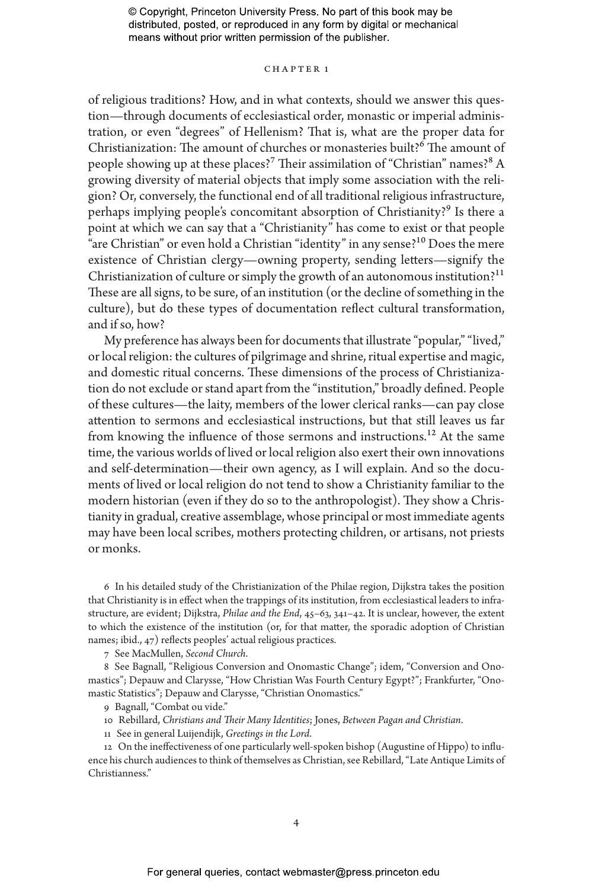## chapter 1

of religious traditions? How, and in what contexts, should we answer this question—through documents of ecclesiastical order, monastic or imperial administration, or even "degrees" of Hellenism? That is, what are the proper data for Christianization: The amount of churches or monasteries built?<sup>6</sup> The amount of people showing up at these places?<sup>7</sup> Their assimilation of "Christian" names?<sup>8</sup> A growing diversity of material objects that imply some association with the religion? Or, conversely, the functional end of all traditional religious infrastructure, perhaps implying people's concomitant absorption of Christianity?<sup>9</sup> Is there a point at which we can say that a "Christianity" has come to exist or that people "are Christian" or even hold a Christian "identity" in any sense?<sup>10</sup> Does the mere existence of Christian clergy—owning property, sending letters—signify the Christianization of culture or simply the growth of an autonomous institution?<sup>11</sup> These are all signs, to be sure, of an institution (or the decline of something in the culture), but do these types of documentation reflect cultural transformation, and if so, how?

My preference has always been for documents that illustrate "popular," "lived," or local religion: the cultures of pilgrimage and shrine, ritual expertise and magic, and domestic ritual concerns. These dimensions of the process of Christianization do not exclude or stand apart from the "institution," broadly defined. People of these cultures—the laity, members of the lower clerical ranks—can pay close attention to sermons and ecclesiastical instructions, but that still leaves us far from knowing the influence of those sermons and instructions.<sup>12</sup> At the same time, the various worlds of lived or local religion also exert their own innovations and self-determination—their own agency, as I will explain. And so the documents of lived or local religion do not tend to show a Christianity familiar to the modern historian (even if they do so to the anthropologist). They show a Christianity in gradual, creative assemblage, whose principal or most immediate agents may have been local scribes, mothers protecting children, or artisans, not priests or monks.

6 In his detailed study of the Christianization of the Philae region, Dijkstra takes the position that Christianity is in effect when the trappings of its institution, from ecclesiastical leaders to infrastructure, are evident; Dijkstra, *Philae and the End*, 45–63, 341–42. It is unclear, however, the extent to which the existence of the institution (or, for that matter, the sporadic adoption of Christian names; ibid., 47) reflects peoples' actual religious practices.

7 See MacMullen, *Second Church*.

8 See Bagnall, "Religious Conversion and Onomastic Change"; idem, "Conversion and Onomastics"; Depauw and Clarysse, "How Christian Was Fourth Century Egypt?"; Frankfurter, "Onomastic Statistics"; Depauw and Clarysse, "Christian Onomastics."

9 Bagnall, "Combat ou vide."

- 10 Rebillard, *Christians and Their Many Identities*; Jones, *Between Pagan and Christian*.
- 11 See in general Luijendijk, *Greetings in the Lord*.

12 On the ineffectiveness of one particularly well-spoken bishop (Augustine of Hippo) to influence his church audiences to think of themselves as Christian, see Rebillard, "Late Antique Limits of Christianness."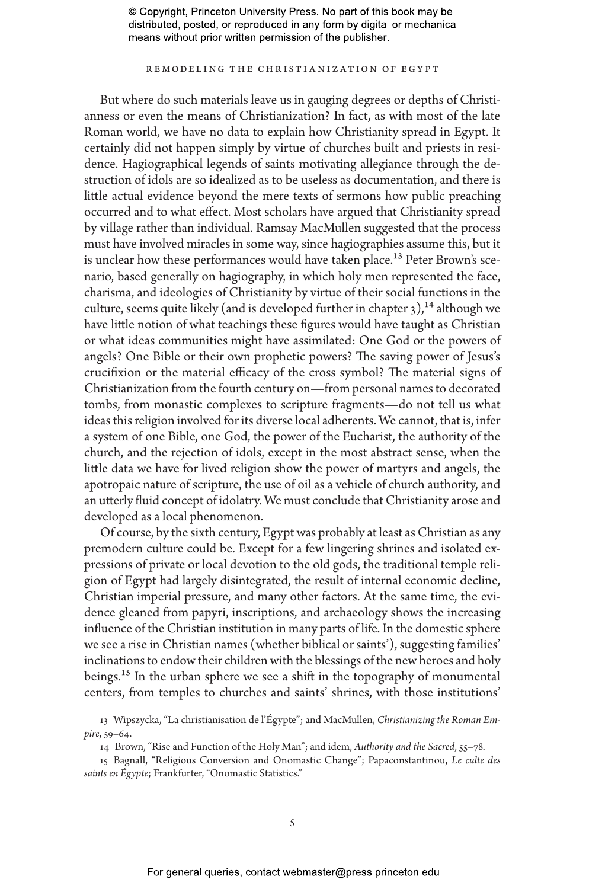REMODELING THE CHRISTIANIZATION OF EGYPT

But where do such materials leave us in gauging degrees or depths of Christianness or even the means of Christianization? In fact, as with most of the late Roman world, we have no data to explain how Christianity spread in Egypt. It certainly did not happen simply by virtue of churches built and priests in residence. Hagiographical legends of saints motivating allegiance through the destruction of idols are so idealized as to be useless as documentation, and there is little actual evidence beyond the mere texts of sermons how public preaching occurred and to what effect. Most scholars have argued that Christianity spread by village rather than individual. Ramsay MacMullen suggested that the process must have involved miracles in some way, since hagiographies assume this, but it is unclear how these performances would have taken place.<sup>13</sup> Peter Brown's scenario, based generally on hagiography, in which holy men represented the face, charisma, and ideologies of Christianity by virtue of their social functions in the culture, seems quite likely (and is developed further in chapter  $3$ ),<sup>14</sup> although we have little notion of what teachings these figures would have taught as Christian or what ideas communities might have assimilated: One God or the powers of angels? One Bible or their own prophetic powers? The saving power of Jesus's crucifixion or the material efficacy of the cross symbol? The material signs of Christianization from the fourth century on—from personal names to decorated tombs, from monastic complexes to scripture fragments—do not tell us what ideas this religion involved for its diverse local adherents. We cannot, that is, infer a system of one Bible, one God, the power of the Eucharist, the authority of the church, and the rejection of idols, except in the most abstract sense, when the little data we have for lived religion show the power of martyrs and angels, the apotropaic nature of scripture, the use of oil as a vehicle of church authority, and an utterly fluid concept of idolatry. We must conclude that Christianity arose and developed as a local phenomenon.

Of course, by the sixth century, Egypt was probably at least as Christian as any premodern culture could be. Except for a few lingering shrines and isolated expressions of private or local devotion to the old gods, the traditional temple religion of Egypt had largely disintegrated, the result of internal economic decline, Christian imperial pressure, and many other factors. At the same time, the evidence gleaned from papyri, inscriptions, and archaeology shows the increasing influence of the Christian institution in many parts of life. In the domestic sphere we see a rise in Christian names (whether biblical or saints'), suggesting families' inclinations to endow their children with the blessings of the new heroes and holy beings.<sup>15</sup> In the urban sphere we see a shift in the topography of monumental centers, from temples to churches and saints' shrines, with those institutions'

<sup>13</sup> Wipszycka, "La christianisation de l'Égypte"; and MacMullen, *Christianizing the Roman Empire*, 59–64.

<sup>14</sup> Brown, "Rise and Function of the Holy Man"; and idem, *Authority and the Sacred*, 55–78.

<sup>15</sup> Bagnall, "Religious Conversion and Onomastic Change"; Papaconstantinou, *Le culte des saints en Égypte*; Frankfurter, "Onomastic Statistics."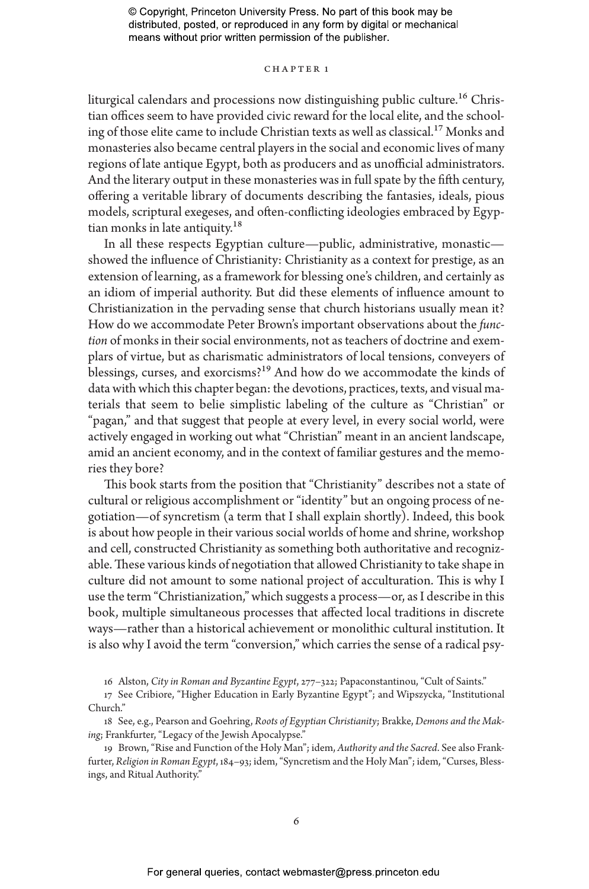#### chapter 1

liturgical calendars and processions now distinguishing public culture.<sup>16</sup> Christian offices seem to have provided civic reward for the local elite, and the schooling of those elite came to include Christian texts as well as classical.17 Monks and monasteries also became central players in the social and economic lives of many regions of late antique Egypt, both as producers and as unofficial administrators. And the literary output in these monasteries was in full spate by the fifth century, offering a veritable library of documents describing the fantasies, ideals, pious models, scriptural exegeses, and often-conflicting ideologies embraced by Egyptian monks in late antiquity.<sup>18</sup>

In all these respects Egyptian culture—public, administrative, monastic showed the influence of Christianity: Christianity as a context for prestige, as an extension of learning, as a framework for blessing one's children, and certainly as an idiom of imperial authority. But did these elements of influence amount to Christianization in the pervading sense that church historians usually mean it? How do we accommodate Peter Brown's important observations about the *function* of monks in their social environments, not as teachers of doctrine and exemplars of virtue, but as charismatic administrators of local tensions, conveyers of blessings, curses, and exorcisms?<sup>19</sup> And how do we accommodate the kinds of data with which this chapter began: the devotions, practices, texts, and visual materials that seem to belie simplistic labeling of the culture as "Christian" or "pagan," and that suggest that people at every level, in every social world, were actively engaged in working out what "Christian" meant in an ancient landscape, amid an ancient economy, and in the context of familiar gestures and the memories they bore?

This book starts from the position that "Christianity" describes not a state of cultural or religious accomplishment or "identity" but an ongoing process of negotiation—of syncretism (a term that I shall explain shortly). Indeed, this book is about how people in their various social worlds of home and shrine, workshop and cell, constructed Christianity as something both authoritative and recognizable. These various kinds of negotiation that allowed Christianity to take shape in culture did not amount to some national project of acculturation. This is why I use the term "Christianization," which suggests a process—or, as I describe in this book, multiple simultaneous processes that affected local traditions in discrete ways—rather than a historical achievement or monolithic cultural institution. It is also why I avoid the term "conversion," which carries the sense of a radical psy-

16 Alston, *City in Roman and Byzantine Egypt*, 277–322; Papaconstantinou, "Cult of Saints."

17 See Cribiore, "Higher Education in Early Byzantine Egypt"; and Wipszycka, "Institutional Church."

18 See, e.g., Pearson and Goehring, *Roots of Egyptian Christianity*; Brakke, *Demons and the Making*; Frankfurter, "Legacy of the Jewish Apocalypse."

19 Brown, "Rise and Function of the Holy Man"; idem, *Authority and the Sacred*. See also Frankfurter, *Religion in Roman Egypt*, 184–93; idem, "Syncretism and the Holy Man"; idem, "Curses, Blessings, and Ritual Authority."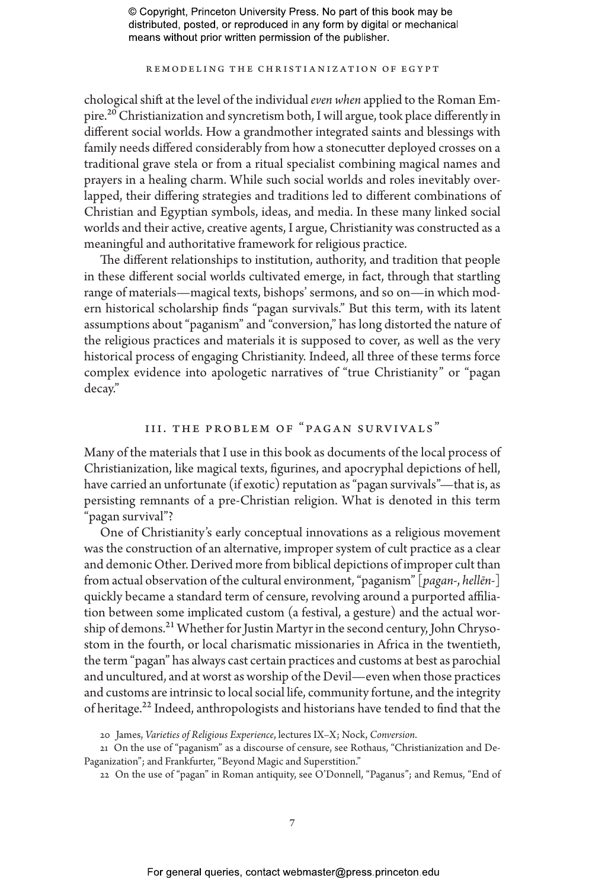REMODELING THE CHRISTIANIZATION OF EGYPT

chological shift at the level of the individual *even when* applied to the Roman Empire.<sup>20</sup> Christianization and syncretism both, I will argue, took place differently in different social worlds. How a grandmother integrated saints and blessings with family needs differed considerably from how a stonecutter deployed crosses on a traditional grave stela or from a ritual specialist combining magical names and prayers in a healing charm. While such social worlds and roles inevitably overlapped, their differing strategies and traditions led to different combinations of Christian and Egyptian symbols, ideas, and media. In these many linked social worlds and their active, creative agents, I argue, Christianity was constructed as a meaningful and authoritative framework for religious practice.

The different relationships to institution, authority, and tradition that people in these different social worlds cultivated emerge, in fact, through that startling range of materials—magical texts, bishops' sermons, and so on—in which modern historical scholarship finds "pagan survivals." But this term, with its latent assumptions about "paganism" and "conversion," has long distorted the nature of the religious practices and materials it is supposed to cover, as well as the very historical process of engaging Christianity. Indeed, all three of these terms force complex evidence into apologetic narratives of "true Christianity" or "pagan decay."

## III. The Problem of "Pagan Survivals"

Many of the materials that I use in this book as documents of the local process of Christianization, like magical texts, figurines, and apocryphal depictions of hell, have carried an unfortunate (if exotic) reputation as "pagan survivals"—that is, as persisting remnants of a pre-Christian religion. What is denoted in this term "pagan survival"?

One of Christianity's early conceptual innovations as a religious movement was the construction of an alternative, improper system of cult practice as a clear and demonic Other. Derived more from biblical depictions of improper cult than from actual observation of the cultural environment, "paganism" [*pagan-*, *hellēn-* ] quickly became a standard term of censure, revolving around a purported affiliation between some implicated custom (a festival, a gesture) and the actual worship of demons.<sup>21</sup> Whether for Justin Martyr in the second century, John Chrysostom in the fourth, or local charismatic missionaries in Africa in the twentieth, the term "pagan" has always cast certain practices and customs at best as parochial and uncultured, and at worst as worship of the Devil—even when those practices and customs are intrinsic to local social life, community fortune, and the integrity of heritage.<sup>22</sup> Indeed, anthropologists and historians have tended to find that the

20 James, *Varieties of Religious Experience*, lectures IX–X; Nock, *Conversion*.

21 On the use of "paganism" as a discourse of censure, see Rothaus, "Christianization and De-Paganization"; and Frankfurter, "Beyond Magic and Superstition."

22 On the use of "pagan" in Roman antiquity, see O'Donnell, "Paganus"; and Remus, "End of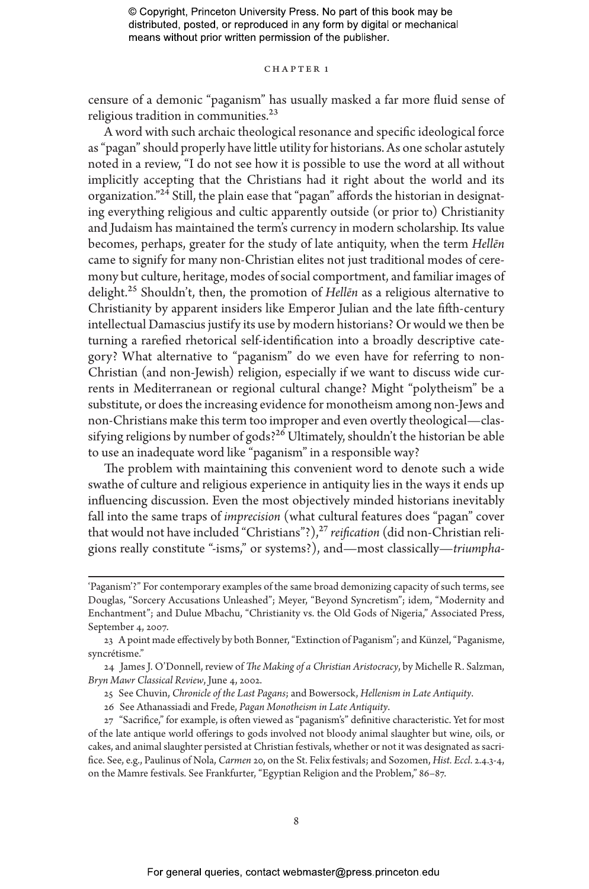#### chapter 1

censure of a demonic "paganism" has usually masked a far more fluid sense of religious tradition in communities.<sup>23</sup>

A word with such archaic theological resonance and specific ideological force as "pagan" should properly have little utility for historians. As one scholar astutely noted in a review, "I do not see how it is possible to use the word at all without implicitly accepting that the Christians had it right about the world and its organization."24 Still, the plain ease that "pagan" affords the historian in designating everything religious and cultic apparently outside (or prior to) Christianity and Judaism has maintained the term's currency in modern scholarship. Its value becomes, perhaps, greater for the study of late antiquity, when the term *Hellēn* came to signify for many non-Christian elites not just traditional modes of ceremony but culture, heritage, modes of social comportment, and familiar images of delight.25 Shouldn't, then, the promotion of *Hellēn* as a religious alternative to Christianity by apparent insiders like Emperor Julian and the late fifth-century intellectual Damascius justify its use by modern historians? Or would we then be turning a rarefied rhetorical self-identification into a broadly descriptive category? What alternative to "paganism" do we even have for referring to non-Christian (and non-Jewish) religion, especially if we want to discuss wide currents in Mediterranean or regional cultural change? Might "polytheism" be a substitute, or does the increasing evidence for monotheism among non-Jews and non- Christians make this term too improper and even overtly theological—classifying religions by number of gods?<sup>26</sup> Ultimately, shouldn't the historian be able to use an inadequate word like "paganism" in a responsible way?

The problem with maintaining this convenient word to denote such a wide swathe of culture and religious experience in antiquity lies in the ways it ends up influencing discussion. Even the most objectively minded historians inevitably fall into the same traps of *imprecision* (what cultural features does "pagan" cover that would not have included "Christians"?),<sup>27</sup> reification (did non-Christian religions really constitute "-isms," or systems?), and—most classically—*triumpha-*

<sup>&#</sup>x27;Paganism'?" For contemporary examples of the same broad demonizing capacity of such terms, see Douglas, "Sorcery Accusations Unleashed"; Meyer, "Beyond Syncretism"; idem, "Modernity and Enchantment"; and Dulue Mbachu, "Christianity vs. the Old Gods of Nigeria," Associated Press, September 4, 2007.

<sup>23</sup> A point made effectively by both Bonner, "Extinction of Paganism"; and Künzel, "Paganisme, syncrétisme."

<sup>24</sup> James J. O'Donnell, review of *The Making of a Christian Aristocracy*, by Michelle R. Salzman, *Bryn Mawr Classical Review*, June 4, 2002.

<sup>25</sup> See Chuvin, *Chronicle of the Last Pagans*; and Bowersock, *Hellenism in Late Antiquity*.

<sup>26</sup> See Athanassiadi and Frede, *Pagan Monotheism in Late Antiquity*.

<sup>27</sup> "Sacrifice," for example, is often viewed as "paganism's" definitive characteristic. Yet for most of the late antique world offerings to gods involved not bloody animal slaughter but wine, oils, or cakes, and animal slaughter persisted at Christian festivals, whether or not it was designated as sacrifice. See, e.g., Paulinus of Nola, *Carmen* 20, on the St. Felix festivals; and Sozomen, *Hist. Eccl*. 2.4.3-4, on the Mamre festivals. See Frankfurter, "Egyptian Religion and the Problem," 86–87.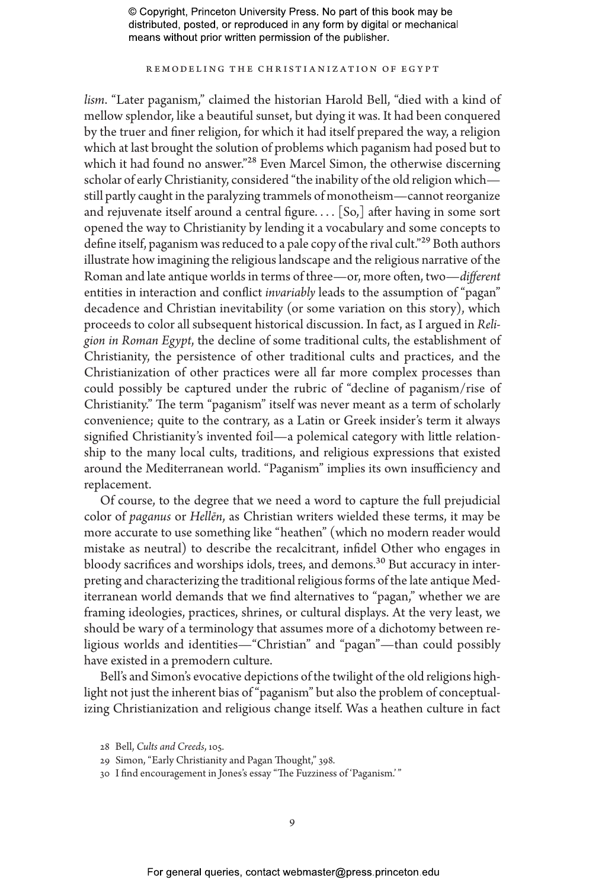REMODELING THE CHRISTIANIZATION OF EGYPT

*lism*. "Later paganism," claimed the historian Harold Bell, "died with a kind of mellow splendor, like a beautiful sunset, but dying it was. It had been conquered by the truer and finer religion, for which it had itself prepared the way, a religion which at last brought the solution of problems which paganism had posed but to which it had found no answer."<sup>28</sup> Even Marcel Simon, the otherwise discerning scholar of early Christianity, considered "the inability of the old religion which still partly caught in the paralyzing trammels of monotheism—cannot reorganize and rejuvenate itself around a central figure. . . . [So,] after having in some sort opened the way to Christianity by lending it a vocabulary and some concepts to define itself, paganism was reduced to a pale copy of the rival cult."<sup>29</sup> Both authors illustrate how imagining the religious landscape and the religious narrative of the Roman and late antique worlds in terms of three—or, more often, two—*different* entities in interaction and conflict *invariably* leads to the assumption of "pagan" decadence and Christian inevitability (or some variation on this story), which proceeds to color all subsequent historical discussion. In fact, as I argued in *Religion in Roman Egypt*, the decline of some traditional cults, the establishment of Christianity, the persistence of other traditional cults and practices, and the Christianization of other practices were all far more complex processes than could possibly be captured under the rubric of "decline of paganism/rise of Christianity." The term "paganism" itself was never meant as a term of scholarly convenience; quite to the contrary, as a Latin or Greek insider's term it always signified Christianity's invented foil—a polemical category with little relationship to the many local cults, traditions, and religious expressions that existed around the Mediterranean world. "Paganism" implies its own insufficiency and replacement.

Of course, to the degree that we need a word to capture the full prejudicial color of *paganus* or *Hellēn*, as Christian writers wielded these terms, it may be more accurate to use something like "heathen" (which no modern reader would mistake as neutral) to describe the recalcitrant, infidel Other who engages in bloody sacrifices and worships idols, trees, and demons.<sup>30</sup> But accuracy in interpreting and characterizing the traditional religious forms of the late antique Mediterranean world demands that we find alternatives to "pagan," whether we are framing ideologies, practices, shrines, or cultural displays. At the very least, we should be wary of a terminology that assumes more of a dichotomy between religious worlds and identities—"Christian" and "pagan"—than could possibly have existed in a premodern culture.

Bell's and Simon's evocative depictions of the twilight of the old religions highlight not just the inherent bias of "paganism" but also the problem of conceptualizing Christianization and religious change itself. Was a heathen culture in fact

<sup>28</sup> Bell, *Cults and Creeds*, 105.

<sup>29</sup> Simon, "Early Christianity and Pagan Thought," 398.

<sup>30</sup> I find encouragement in Jones's essay "The Fuzziness of 'Paganism.' "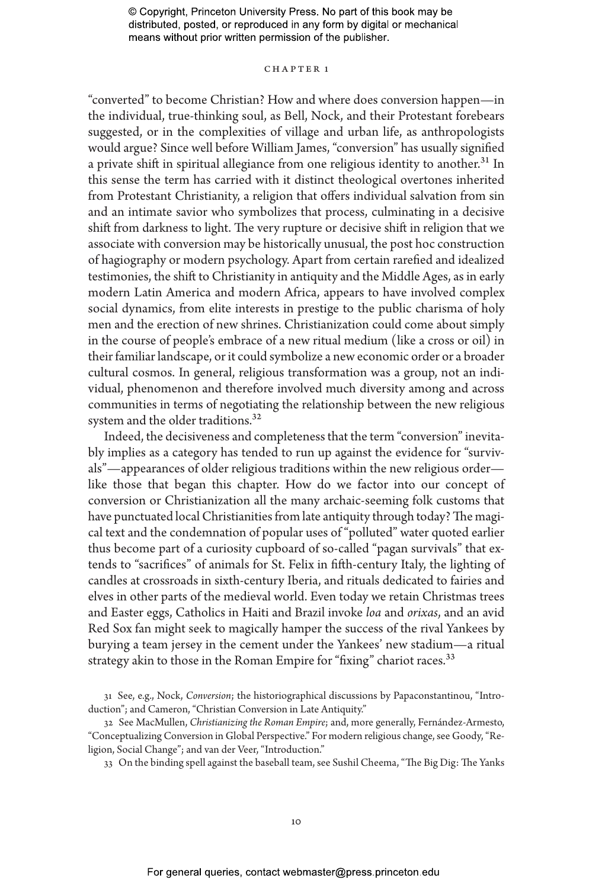## chapter 1

"converted" to become Christian? How and where does conversion happen—in the individual, true-thinking soul, as Bell, Nock, and their Protestant forebears suggested, or in the complexities of village and urban life, as anthropologists would argue? Since well before William James, "conversion" has usually signified a private shift in spiritual allegiance from one religious identity to another.<sup>31</sup> In this sense the term has carried with it distinct theological overtones inherited from Protestant Christianity, a religion that offers individual salvation from sin and an intimate savior who symbolizes that process, culminating in a decisive shift from darkness to light. The very rupture or decisive shift in religion that we associate with conversion may be historically unusual, the post hoc construction of hagiography or modern psychology. Apart from certain rarefied and idealized testimonies, the shift to Christianity in antiquity and the Middle Ages, as in early modern Latin America and modern Africa, appears to have involved complex social dynamics, from elite interests in prestige to the public charisma of holy men and the erection of new shrines. Christianization could come about simply in the course of people's embrace of a new ritual medium (like a cross or oil) in their familiar landscape, or it could symbolize a new economic order or a broader cultural cosmos. In general, religious transformation was a group, not an individual, phenomenon and therefore involved much diversity among and across communities in terms of negotiating the relationship between the new religious system and the older traditions.<sup>32</sup>

Indeed, the decisiveness and completeness that the term "conversion" inevitably implies as a category has tended to run up against the evidence for "survivals"—appearances of older religious traditions within the new religious order like those that began this chapter. How do we factor into our concept of conversion or Christianization all the many archaic-seeming folk customs that have punctuated local Christianities from late antiquity through today? The magical text and the condemnation of popular uses of "polluted" water quoted earlier thus become part of a curiosity cupboard of so-called "pagan survivals" that extends to "sacrifices" of animals for St. Felix in fifth-century Italy, the lighting of candles at crossroads in sixth-century Iberia, and rituals dedicated to fairies and elves in other parts of the medieval world. Even today we retain Christmas trees and Easter eggs, Catholics in Haiti and Brazil invoke *loa* and *orixas*, and an avid Red Sox fan might seek to magically hamper the success of the rival Yankees by burying a team jersey in the cement under the Yankees' new stadium—a ritual strategy akin to those in the Roman Empire for "fixing" chariot races.<sup>33</sup>

33 On the binding spell against the baseball team, see Sushil Cheema, "The Big Dig: The Yanks

<sup>31</sup> See, e.g., Nock, *Conversion*; the historiographical discussions by Papaconstantinou, "Introduction"; and Cameron, "Christian Conversion in Late Antiquity."

<sup>32</sup> See MacMullen, *Christianizing the Roman Empire*; and, more generally, Fernández- Armesto, "Conceptualizing Conversion in Global Perspective." For modern religious change, see Goody, "Religion, Social Change"; and van der Veer, "Introduction."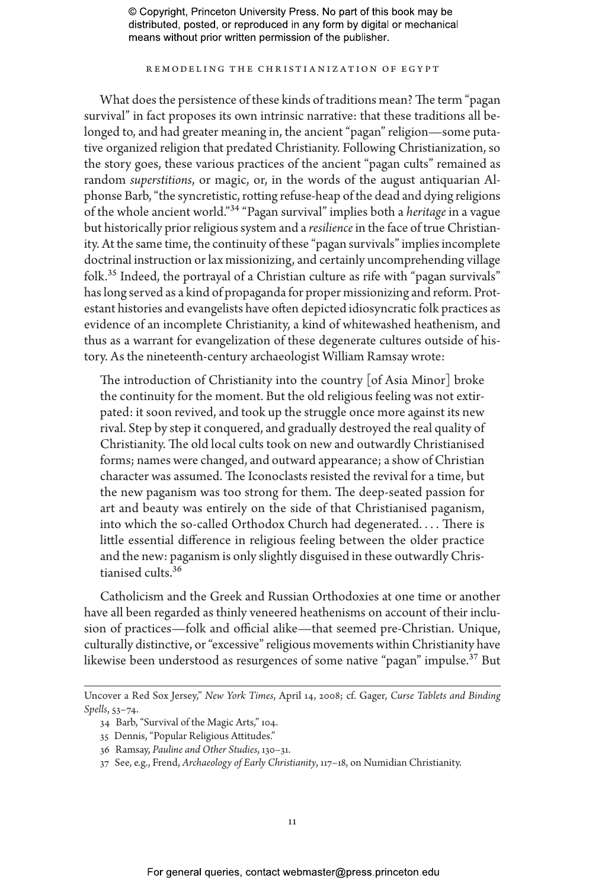REMODELING THE CHRISTIANIZATION OF EGYPT

What does the persistence of these kinds of traditions mean? The term "pagan survival" in fact proposes its own intrinsic narrative: that these traditions all belonged to, and had greater meaning in, the ancient "pagan" religion—some putative organized religion that predated Christianity. Following Christianization, so the story goes, these various practices of the ancient "pagan cults" remained as random *superstitions*, or magic, or, in the words of the august antiquarian Alphonse Barb, "the syncretistic, rotting refuse-heap of the dead and dying religions of the whole ancient world."34 "Pagan survival" implies both a *heritage* in a vague but historically prior religious system and a *resilience* in the face of true Christianity. At the same time, the continuity of these "pagan survivals" implies incomplete doctrinal instruction or lax missionizing, and certainly uncomprehending village folk.<sup>35</sup> Indeed, the portrayal of a Christian culture as rife with "pagan survivals" has long served as a kind of propaganda for proper missionizing and reform. Protestant histories and evangelists have often depicted idiosyncratic folk practices as evidence of an incomplete Christianity, a kind of whitewashed heathenism, and thus as a warrant for evangelization of these degenerate cultures outside of history. As the nineteenth- century archaeologist William Ramsay wrote:

The introduction of Christianity into the country [of Asia Minor] broke the continuity for the moment. But the old religious feeling was not extirpated: it soon revived, and took up the struggle once more against its new rival. Step by step it conquered, and gradually destroyed the real quality of Christianity. The old local cults took on new and outwardly Christianised forms; names were changed, and outward appearance; a show of Christian character was assumed. The Iconoclasts resisted the revival for a time, but the new paganism was too strong for them. The deep-seated passion for art and beauty was entirely on the side of that Christianised paganism, into which the so-called Orthodox Church had degenerated. . . . There is little essential difference in religious feeling between the older practice and the new: paganism is only slightly disguised in these outwardly Christianised cults.<sup>36</sup>

Catholicism and the Greek and Russian Orthodoxies at one time or another have all been regarded as thinly veneered heathenisms on account of their inclusion of practices—folk and official alike—that seemed pre-Christian. Unique, culturally distinctive, or "excessive" religious movements within Christianity have likewise been understood as resurgences of some native "pagan" impulse.<sup>37</sup> But

Uncover a Red Sox Jersey," *New York Times*, April 14, 2008; cf. Gager, *Curse Tablets and Binding Spells*, 53–74.

<sup>34</sup> Barb, "Survival of the Magic Arts," 104.

<sup>35</sup> Dennis, "Popular Religious Attitudes."

<sup>36</sup> Ramsay, *Pauline and Other Studies*, 130–31.

<sup>37</sup> See, e.g., Frend, *Archaeology of Early Christianity*, 117–18, on Numidian Christianity.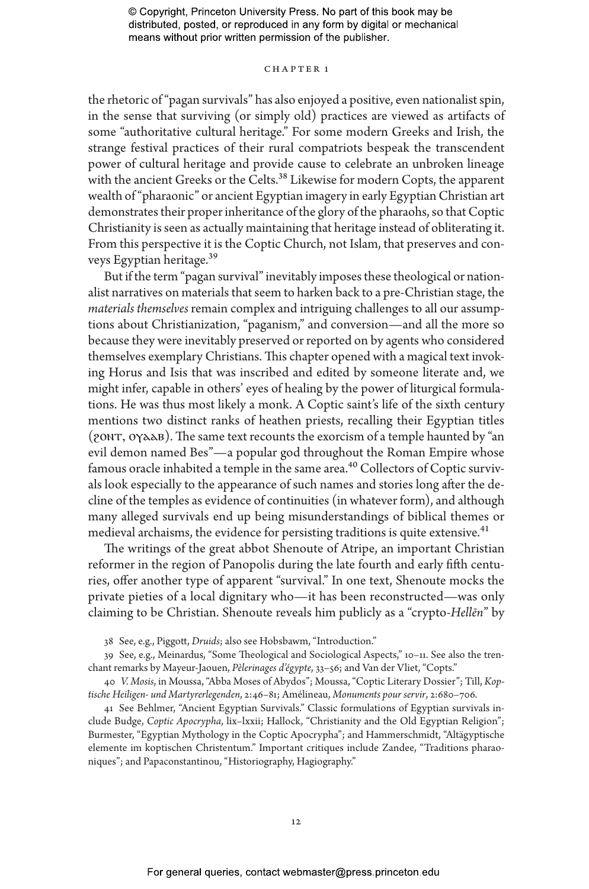#### chapter 1

the rhetoric of "pagan survivals" has also enjoyed a positive, even nationalist spin, in the sense that surviving (or simply old) practices are viewed as artifacts of some "authoritative cultural heritage." For some modern Greeks and Irish, the strange festival practices of their rural compatriots bespeak the transcendent power of cultural heritage and provide cause to celebrate an unbroken lineage with the ancient Greeks or the Celts.<sup>38</sup> Likewise for modern Copts, the apparent wealth of "pharaonic" or ancient Egyptian imagery in early Egyptian Christian art demonstrates their proper inheritance of the glory of the pharaohs, so that Coptic Christianity is seen as actually maintaining that heritage instead of obliterating it. From this perspective it is the Coptic Church, not Islam, that preserves and conveys Egyptian heritage.<sup>39</sup>

But if the term "pagan survival" inevitably imposes these theological or nationalist narratives on materials that seem to harken back to a pre-Christian stage, the *materials themselves* remain complex and intriguing challenges to all our assumptions about Christianization, "paganism," and conversion—and all the more so because they were inevitably preserved or reported on by agents who considered themselves exemplary Christians. This chapter opened with a magical text invoking Horus and Isis that was inscribed and edited by someone literate and, we might infer, capable in others' eyes of healing by the power of liturgical formulations. He was thus most likely a monk. A Coptic saint's life of the sixth century mentions two distinct ranks of heathen priests, recalling their Egyptian titles (ϩⲟⲛⲧ, ⲟⲩⲁⲁⲃ). The same text recounts the exorcism of a temple haunted by "an evil demon named Bes"—a popular god throughout the Roman Empire whose famous oracle inhabited a temple in the same area.<sup>40</sup> Collectors of Coptic survivals look especially to the appearance of such names and stories long after the decline of the temples as evidence of continuities (in whatever form), and although many alleged survivals end up being misunderstandings of biblical themes or medieval archaisms, the evidence for persisting traditions is quite extensive.<sup>41</sup>

The writings of the great abbot Shenoute of Atripe, an important Christian reformer in the region of Panopolis during the late fourth and early fifth centuries, offer another type of apparent "survival." In one text, Shenoute mocks the private pieties of a local dignitary who—it has been reconstructed—was only claiming to be Christian. Shenoute reveals him publicly as a "crypto-*Hellēn*" by

38 See, e.g., Piggott, *Druids*; also see Hobsbawm, "Introduction."

39 See, e.g., Meinardus, "Some Theological and Sociological Aspects," 10–11. See also the trenchant remarks by Mayeur- Jaouen, *Pèlerinages d'égypte*, 33–56; and Van der Vliet, "Copts."

40 *V. Mosis*, in Moussa, "Abba Moses of Abydos"; Moussa, "Coptic Literary Dossier"; Till, *Koptische Heiligen- und Martyrerlegenden*, 2:46–81; Amélineau, *Monuments pour servir*, 2:680–706.

41 See Behlmer, "Ancient Egyptian Survivals." Classic formulations of Egyptian survivals include Budge, *Coptic Apocrypha*, lix–lxxii; Hallock, "Christianity and the Old Egyptian Religion"; Burmester, "Egyptian Mythology in the Coptic Apocrypha"; and Hammerschmidt, "Altägyptische elemente im koptischen Christentum." Important critiques include Zandee, "Traditions pharaoniques"; and Papaconstantinou, "Historiography, Hagiography."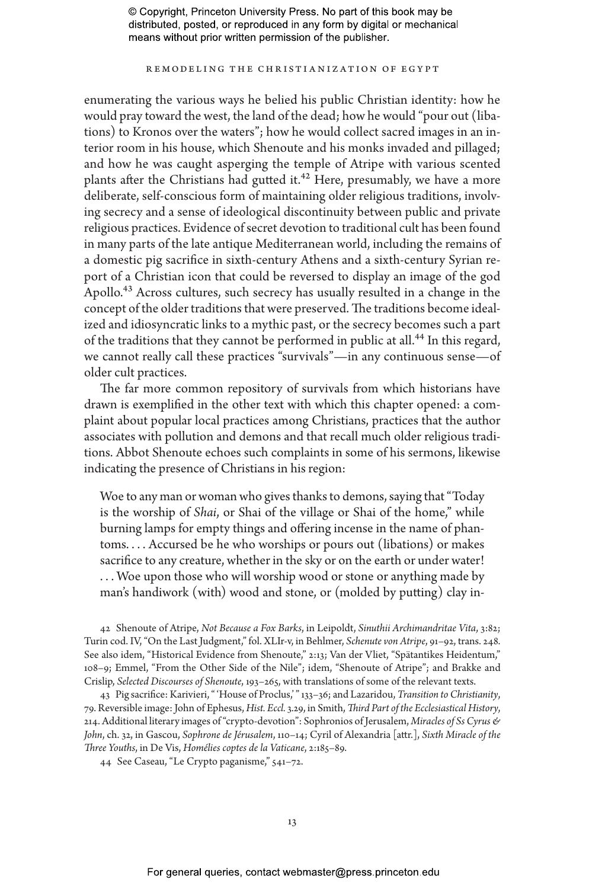REMODELING THE CHRISTIANIZATION OF EGYPT

enumerating the various ways he belied his public Christian identity: how he would pray toward the west, the land of the dead; how he would "pour out (libations) to Kronos over the waters"; how he would collect sacred images in an interior room in his house, which Shenoute and his monks invaded and pillaged; and how he was caught asperging the temple of Atripe with various scented plants after the Christians had gutted it.<sup>42</sup> Here, presumably, we have a more deliberate, self-conscious form of maintaining older religious traditions, involving secrecy and a sense of ideological discontinuity between public and private religious practices. Evidence of secret devotion to traditional cult has been found in many parts of the late antique Mediterranean world, including the remains of a domestic pig sacrifice in sixth-century Athens and a sixth-century Syrian report of a Christian icon that could be reversed to display an image of the god Apollo.43 Across cultures, such secrecy has usually resulted in a change in the concept of the older traditions that were preserved. The traditions become idealized and idiosyncratic links to a mythic past, or the secrecy becomes such a part of the traditions that they cannot be performed in public at all.<sup>44</sup> In this regard, we cannot really call these practices "survivals"—in any continuous sense—of older cult practices.

The far more common repository of survivals from which historians have drawn is exemplified in the other text with which this chapter opened: a complaint about popular local practices among Christians, practices that the author associates with pollution and demons and that recall much older religious traditions. Abbot Shenoute echoes such complaints in some of his sermons, likewise indicating the presence of Christians in his region:

Woe to any man or woman who gives thanks to demons, saying that "Today is the worship of *Shai*, or Shai of the village or Shai of the home," while burning lamps for empty things and offering incense in the name of phantoms. . . . Accursed be he who worships or pours out (libations) or makes sacrifice to any creature, whether in the sky or on the earth or under water! . . . Woe upon those who will worship wood or stone or anything made by man's handiwork (with) wood and stone, or (molded by putting) clay in-

42 Shenoute of Atripe, *Not Because a Fox Barks*, in Leipoldt, *Sinuthii Archimandritae Vita*, 3:82; Turin cod. IV, "On the Last Judgment," fol. XLIr-v, in Behlmer, *Schenute von Atripe*, 91–92, trans. 248. See also idem, "Historical Evidence from Shenoute," 2:13; Van der Vliet, "Spätantikes Heidentum," 108–9; Emmel, "From the Other Side of the Nile"; idem, "Shenoute of Atripe"; and Brakke and Crislip, *Selected Discourses of Shenoute*, 193–265, with translations of some of the relevant texts.

43 Pig sacrifice: Karivieri, "'House of Proclus,'" 133–36; and Lazaridou, *Transition to Christianity*, 79. Reversible image: John of Ephesus, *Hist. Eccl.* 3.29, in Smith, *Third Part of the Ecclesiastical History*, 214. Additional literary images of "crypto-devotion": Sophronios of Jerusalem, *Miracles of Ss Cyrus & John*, ch. 32, in Gascou, *Sophrone de Jérusalem*, 110–14; Cyril of Alexandria [attr.], *Sixth Miracle of the Three Youths*, in De Vis, *Homélies coptes de la Vaticane*, 2:185–89.

44 See Caseau, "Le Crypto paganisme," 541–72.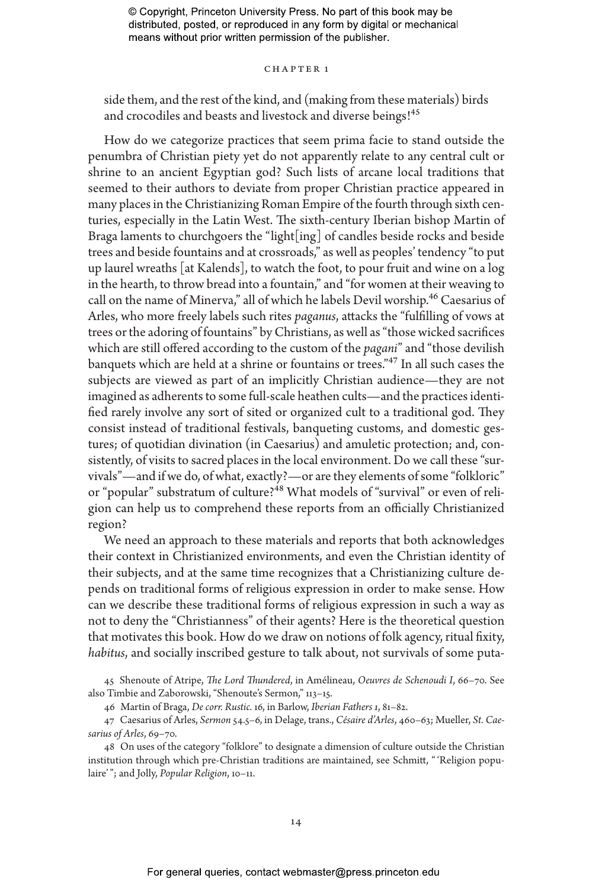chapter 1

side them, and the rest of the kind, and (making from these materials) birds and crocodiles and beasts and livestock and diverse beings!<sup>45</sup>

How do we categorize practices that seem prima facie to stand outside the penumbra of Christian piety yet do not apparently relate to any central cult or shrine to an ancient Egyptian god? Such lists of arcane local traditions that seemed to their authors to deviate from proper Christian practice appeared in many places in the Christianizing Roman Empire of the fourth through sixth centuries, especially in the Latin West. The sixth-century Iberian bishop Martin of Braga laments to churchgoers the "light[ing] of candles beside rocks and beside trees and beside fountains and at crossroads," as well as peoples' tendency "to put up laurel wreaths [at Kalends], to watch the foot, to pour fruit and wine on a log in the hearth, to throw bread into a fountain," and "for women at their weaving to call on the name of Minerva," all of which he labels Devil worship.<sup>46</sup> Caesarius of Arles, who more freely labels such rites *paganus*, attacks the "fulfilling of vows at trees or the adoring of fountains" by Christians, as well as "those wicked sacrifices which are still offered according to the custom of the *pagani*" and "those devilish banquets which are held at a shrine or fountains or trees."47 In all such cases the subjects are viewed as part of an implicitly Christian audience—they are not imagined as adherents to some full-scale heathen cults—and the practices identified rarely involve any sort of sited or organized cult to a traditional god. They consist instead of traditional festivals, banqueting customs, and domestic gestures; of quotidian divination (in Caesarius) and amuletic protection; and, consistently, of visits to sacred places in the local environment. Do we call these "survivals"—and if we do, of what, exactly?—or are they elements of some "folkloric" or "popular" substratum of culture?<sup>48</sup> What models of "survival" or even of religion can help us to comprehend these reports from an officially Christianized region?

We need an approach to these materials and reports that both acknowledges their context in Christianized environments, and even the Christian identity of their subjects, and at the same time recognizes that a Christianizing culture depends on traditional forms of religious expression in order to make sense. How can we describe these traditional forms of religious expression in such a way as not to deny the "Christianness" of their agents? Here is the theoretical question that motivates this book. How do we draw on notions of folk agency, ritual fixity, *habitus*, and socially inscribed gesture to talk about, not survivals of some puta-

45 Shenoute of Atripe, *The Lord Thundered*, in Amélineau, *Oeuvres de Schenoudi I*, 66–70. See also Timbie and Zaborowski, "Shenoute's Sermon," 113–15.

46 Martin of Braga, *De corr. Rustic.* 16, in Barlow, *Iberian Fathers 1*, 81–82.

47 Caesarius of Arles, *Sermon* 54.5–6, in Delage, trans., *Césaire d'Arles*, 460–63; Mueller, *St. Caesarius of Arles*, 69–70.

48 On uses of the category "folklore" to designate a dimension of culture outside the Christian institution through which pre-Christian traditions are maintained, see Schmitt, "'Religion populaire'"; and Jolly, *Popular Religion*, 10-11.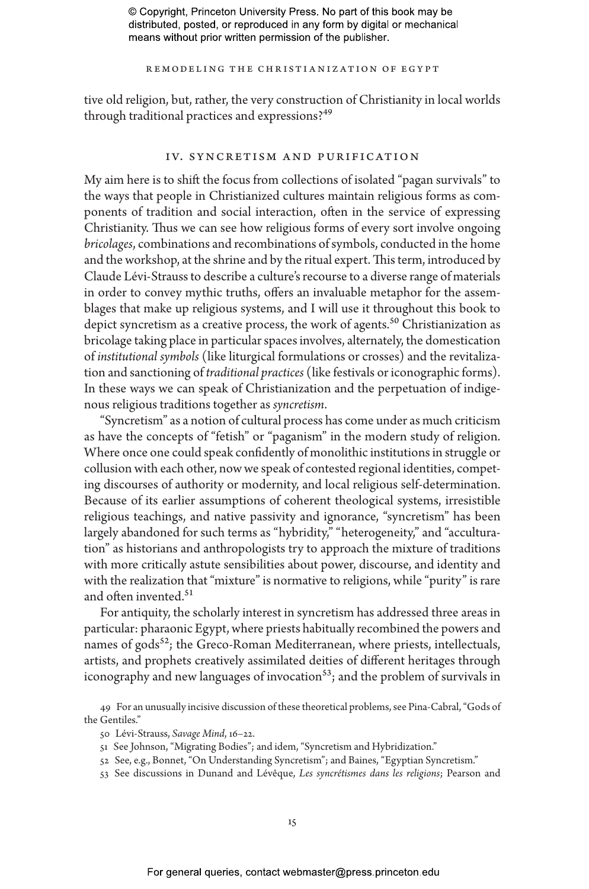REMODELING THE CHRISTIANIZATION OF EGYPT

tive old religion, but, rather, the very construction of Christianity in local worlds through traditional practices and expressions?<sup>49</sup>

## IV. Syncretism and Purification

My aim here is to shift the focus from collections of isolated "pagan survivals" to the ways that people in Christianized cultures maintain religious forms as components of tradition and social interaction, often in the service of expressing Christianity. Thus we can see how religious forms of every sort involve ongoing *bricolages*, combinations and recombinations of symbols, conducted in the home and the workshop, at the shrine and by the ritual expert. This term, introduced by Claude Lévi-Strauss to describe a culture's recourse to a diverse range of materials in order to convey mythic truths, offers an invaluable metaphor for the assemblages that make up religious systems, and I will use it throughout this book to depict syncretism as a creative process, the work of agents.<sup>50</sup> Christianization as bricolage taking place in particular spaces involves, alternately, the domestication of *institutional symbols* (like liturgical formulations or crosses) and the revitalization and sanctioning of *traditional practices* (like festivals or iconographic forms). In these ways we can speak of Christianization and the perpetuation of indigenous religious traditions together as *syncretism*.

"Syncretism" as a notion of cultural process has come under as much criticism as have the concepts of "fetish" or "paganism" in the modern study of religion. Where once one could speak confidently of monolithic institutions in struggle or collusion with each other, now we speak of contested regional identities, competing discourses of authority or modernity, and local religious self- determination. Because of its earlier assumptions of coherent theological systems, irresistible religious teachings, and native passivity and ignorance, "syncretism" has been largely abandoned for such terms as "hybridity," "heterogeneity," and "acculturation" as historians and anthropologists try to approach the mixture of traditions with more critically astute sensibilities about power, discourse, and identity and with the realization that "mixture" is normative to religions, while "purity" is rare and often invented.<sup>51</sup>

For antiquity, the scholarly interest in syncretism has addressed three areas in particular: pharaonic Egypt, where priests habitually recombined the powers and names of gods<sup>52</sup>; the Greco-Roman Mediterranean, where priests, intellectuals, artists, and prophets creatively assimilated deities of different heritages through iconography and new languages of invocation<sup>53</sup>; and the problem of survivals in

- 50 Lévi- Strauss, *Savage Mind*, 16–22.
- 51 See Johnson, "Migrating Bodies"; and idem, "Syncretism and Hybridization."
- 52 See, e.g., Bonnet, "On Understanding Syncretism"; and Baines, "Egyptian Syncretism."
- 53 See discussions in Dunand and Lévêque, *Les syncrétismes dans les religions*; Pearson and

<sup>49</sup> For an unusually incisive discussion of these theoretical problems, see Pina-Cabral, "Gods of the Gentiles."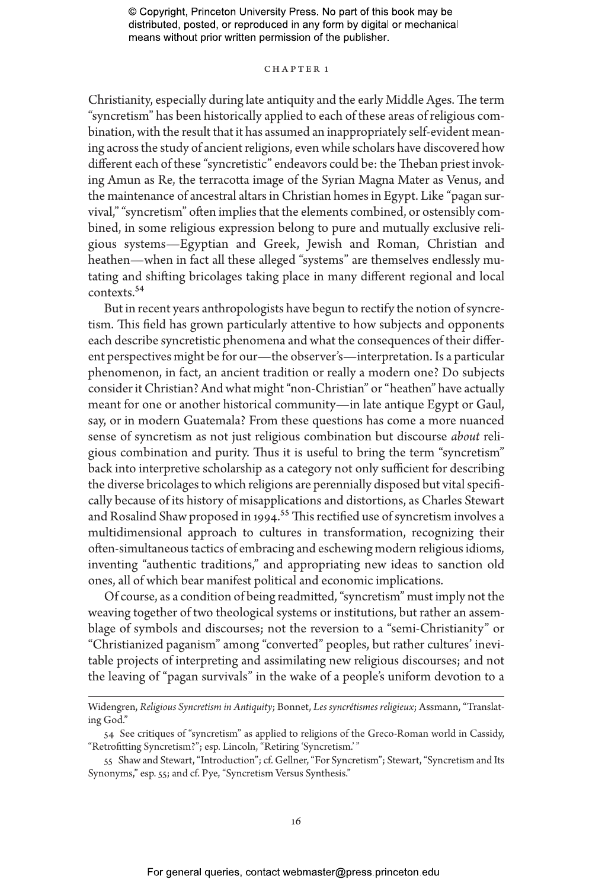## chapter 1

Christianity, especially during late antiquity and the early Middle Ages. The term "syncretism" has been historically applied to each of these areas of religious combination, with the result that it has assumed an inappropriately self-evident meaning across the study of ancient religions, even while scholars have discovered how different each of these "syncretistic" endeavors could be: the Theban priest invoking Amun as Re, the terracotta image of the Syrian Magna Mater as Venus, and the maintenance of ancestral altars in Christian homes in Egypt. Like "pagan survival," "syncretism" often implies that the elements combined, or ostensibly combined, in some religious expression belong to pure and mutually exclusive religious systems—Egyptian and Greek, Jewish and Roman, Christian and heathen—when in fact all these alleged "systems" are themselves endlessly mutating and shifting bricolages taking place in many different regional and local contexts.54

But in recent years anthropologists have begun to rectify the notion of syncretism. This field has grown particularly attentive to how subjects and opponents each describe syncretistic phenomena and what the consequences of their different perspectives might be for our—the observer's—interpretation. Is a particular phenomenon, in fact, an ancient tradition or really a modern one? Do subjects consider it Christian? And what might "non-Christian" or "heathen" have actually meant for one or another historical community—in late antique Egypt or Gaul, say, or in modern Guatemala? From these questions has come a more nuanced sense of syncretism as not just religious combination but discourse *about* religious combination and purity. Thus it is useful to bring the term "syncretism" back into interpretive scholarship as a category not only sufficient for describing the diverse bricolages to which religions are perennially disposed but vital specifically because of its history of misapplications and distortions, as Charles Stewart and Rosalind Shaw proposed in 1994.<sup>55</sup> This rectified use of syncretism involves a multidimensional approach to cultures in transformation, recognizing their often-simultaneous tactics of embracing and eschewing modern religious idioms, inventing "authentic traditions," and appropriating new ideas to sanction old ones, all of which bear manifest political and economic implications.

Of course, as a condition of being readmitted, "syncretism" must imply not the weaving together of two theological systems or institutions, but rather an assemblage of symbols and discourses; not the reversion to a "semi-Christianity" or "Christianized paganism" among "converted" peoples, but rather cultures' inevitable projects of interpreting and assimilating new religious discourses; and not the leaving of "pagan survivals" in the wake of a people's uniform devotion to a

Widengren, *Religious Syncretism in Antiquity*; Bonnet, *Les syncrétismes religieux*; Assmann, "Translating God."

<sup>54</sup> See critiques of "syncretism" as applied to religions of the Greco-Roman world in Cassidy, "Retrofitting Syncretism?"; esp. Lincoln, "Retiring 'Syncretism.' "

<sup>55</sup> Shaw and Stewart, "Introduction"; cf. Gellner, "For Syncretism"; Stewart, "Syncretism and Its Synonyms," esp. 55; and cf. Pye, "Syncretism Versus Synthesis."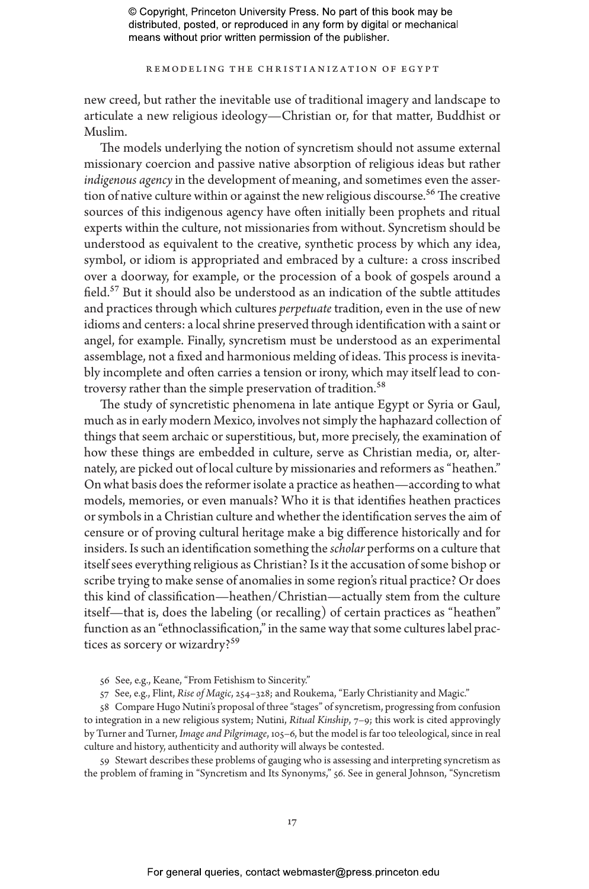REMODELING THE CHRISTIANIZATION OF EGYPT

new creed, but rather the inevitable use of traditional imagery and landscape to articulate a new religious ideology—Christian or, for that matter, Buddhist or Muslim.

The models underlying the notion of syncretism should not assume external missionary coercion and passive native absorption of religious ideas but rather *indigenous agency* in the development of meaning, and sometimes even the assertion of native culture within or against the new religious discourse.<sup>56</sup> The creative sources of this indigenous agency have often initially been prophets and ritual experts within the culture, not missionaries from without. Syncretism should be understood as equivalent to the creative, synthetic process by which any idea, symbol, or idiom is appropriated and embraced by a culture: a cross inscribed over a doorway, for example, or the procession of a book of gospels around a field.57 But it should also be understood as an indication of the subtle attitudes and practices through which cultures *perpetuate* tradition, even in the use of new idioms and centers: a local shrine preserved through identification with a saint or angel, for example. Finally, syncretism must be understood as an experimental assemblage, not a fixed and harmonious melding of ideas. This process is inevitably incomplete and often carries a tension or irony, which may itself lead to controversy rather than the simple preservation of tradition.<sup>58</sup>

The study of syncretistic phenomena in late antique Egypt or Syria or Gaul, much as in early modern Mexico, involves not simply the haphazard collection of things that seem archaic or superstitious, but, more precisely, the examination of how these things are embedded in culture, serve as Christian media, or, alternately, are picked out of local culture by missionaries and reformers as "heathen." On what basis does the reformer isolate a practice as heathen—according to what models, memories, or even manuals? Who it is that identifies heathen practices or symbols in a Christian culture and whether the identification serves the aim of censure or of proving cultural heritage make a big difference historically and for insiders. Is such an identification something the *scholar* performs on a culture that itself sees everything religious as Christian? Is it the accusation of some bishop or scribe trying to make sense of anomalies in some region's ritual practice? Or does this kind of classification—heathen/Christian—actually stem from the culture itself—that is, does the labeling (or recalling) of certain practices as "heathen" function as an "ethnoclassification," in the same way that some cultures label practices as sorcery or wizardry?<sup>59</sup>

- 56 See, e.g., Keane, "From Fetishism to Sincerity."
- 57 See, e.g., Flint, *Rise of Magic*, 254–328; and Roukema, "Early Christianity and Magic."

58 Compare Hugo Nutini's proposal of three "stages" of syncretism, progressing from confusion to integration in a new religious system; Nutini, *Ritual Kinship*, 7–9; this work is cited approvingly by Turner and Turner, *Image and Pilgrimage*, 105–6, but the model is far too teleological, since in real culture and history, authenticity and authority will always be contested.

59 Stewart describes these problems of gauging who is assessing and interpreting syncretism as the problem of framing in "Syncretism and Its Synonyms," 56. See in general Johnson, "Syncretism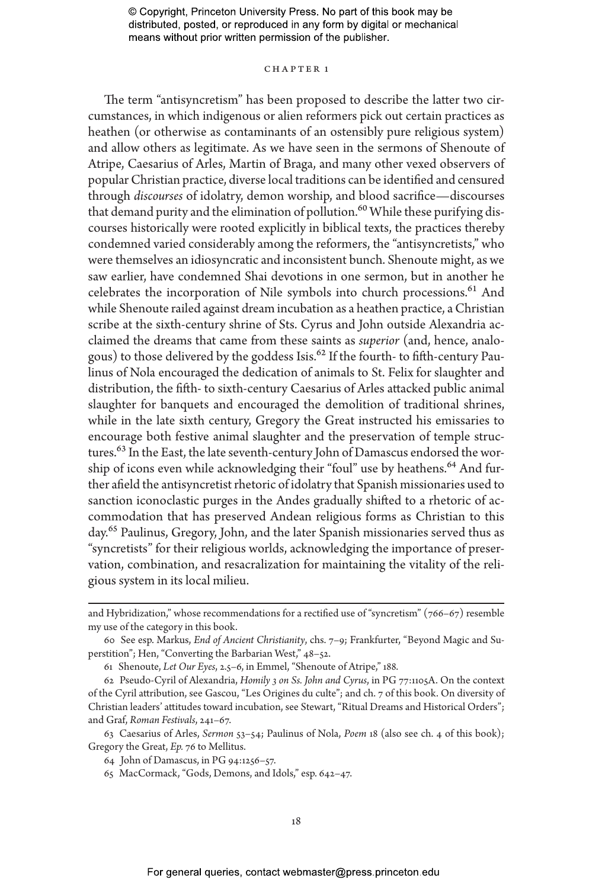## chapter 1

The term "antisyncretism" has been proposed to describe the latter two circumstances, in which indigenous or alien reformers pick out certain practices as heathen (or otherwise as contaminants of an ostensibly pure religious system) and allow others as legitimate. As we have seen in the sermons of Shenoute of Atripe, Caesarius of Arles, Martin of Braga, and many other vexed observers of popular Christian practice, diverse local traditions can be identified and censured through *discourses* of idolatry, demon worship, and blood sacrifice—discourses that demand purity and the elimination of pollution.<sup>60</sup> While these purifying discourses historically were rooted explicitly in biblical texts, the practices thereby condemned varied considerably among the reformers, the "antisyncretists," who were themselves an idiosyncratic and inconsistent bunch. Shenoute might, as we saw earlier, have condemned Shai devotions in one sermon, but in another he celebrates the incorporation of Nile symbols into church processions.<sup>61</sup> And while Shenoute railed against dream incubation as a heathen practice, a Christian scribe at the sixth-century shrine of Sts. Cyrus and John outside Alexandria acclaimed the dreams that came from these saints as *superior* (and, hence, analogous) to those delivered by the goddess Isis.<sup>62</sup> If the fourth- to fifth-century Paulinus of Nola encouraged the dedication of animals to St. Felix for slaughter and distribution, the fifth- to sixth-century Caesarius of Arles attacked public animal slaughter for banquets and encouraged the demolition of traditional shrines, while in the late sixth century, Gregory the Great instructed his emissaries to encourage both festive animal slaughter and the preservation of temple structures.<sup>63</sup> In the East, the late seventh-century John of Damascus endorsed the worship of icons even while acknowledging their "foul" use by heathens.<sup>64</sup> And further afield the antisyncretist rhetoric of idolatry that Spanish missionaries used to sanction iconoclastic purges in the Andes gradually shifted to a rhetoric of accommodation that has preserved Andean religious forms as Christian to this day.<sup>65</sup> Paulinus, Gregory, John, and the later Spanish missionaries served thus as "syncretists" for their religious worlds, acknowledging the importance of preservation, combination, and resacralization for maintaining the vitality of the religious system in its local milieu.

and Hybridization," whose recommendations for a rectified use of "syncretism"  $(766-67)$  resemble my use of the category in this book.

<sup>60</sup> See esp. Markus, *End of Ancient Christianity*, chs. 7–9; Frankfurter, "Beyond Magic and Superstition"; Hen, "Converting the Barbarian West," 48–52.

<sup>61</sup> Shenoute, *Let Our Eyes*, 2.5–6, in Emmel, "Shenoute of Atripe," 188.

<sup>62</sup> Pseudo- Cyril of Alexandria, *Homily 3 on Ss. John and Cyrus*, in PG 77:1105A. On the context of the Cyril attribution, see Gascou, "Les Origines du culte"; and ch. 7 of this book. On diversity of Christian leaders' attitudes toward incubation, see Stewart, "Ritual Dreams and Historical Orders"; and Graf, *Roman Festivals*, 241–67.

<sup>63</sup> Caesarius of Arles, *Sermon* 53–54; Paulinus of Nola, *Poem* 18 (also see ch. 4 of this book); Gregory the Great, *Ep.* 76 to Mellitus.

<sup>64</sup> John of Damascus, in PG 94:1256–57.

<sup>65</sup> MacCormack, "Gods, Demons, and Idols," esp. 642–47.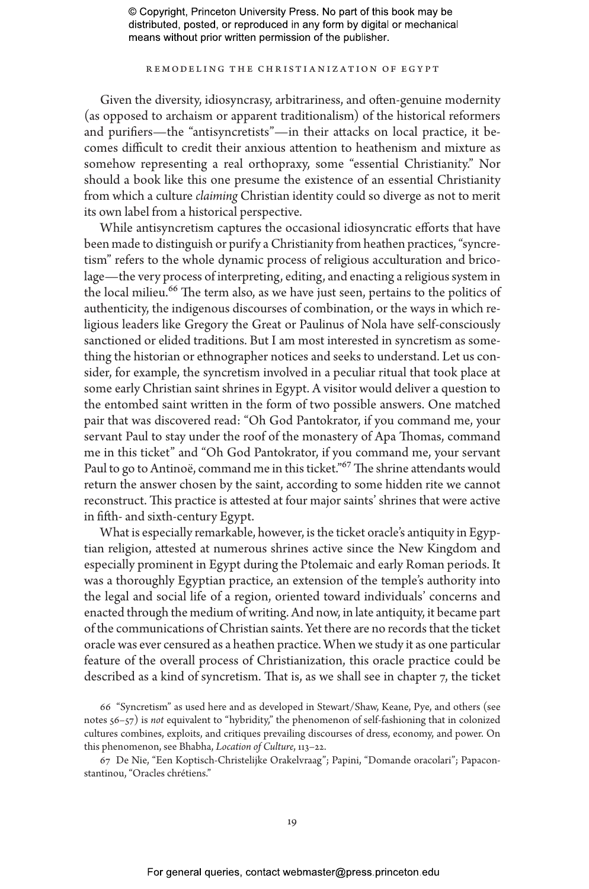REMODELING THE CHRISTIANIZATION OF EGYPT

Given the diversity, idiosyncrasy, arbitrariness, and often-genuine modernity (as opposed to archaism or apparent traditionalism) of the historical reformers and purifiers—the "antisyncretists"—in their attacks on local practice, it becomes difficult to credit their anxious attention to heathenism and mixture as somehow representing a real orthopraxy, some "essential Christianity." Nor should a book like this one presume the existence of an essential Christianity from which a culture *claiming* Christian identity could so diverge as not to merit its own label from a historical perspective.

While antisyncretism captures the occasional idiosyncratic efforts that have been made to distinguish or purify a Christianity from heathen practices, "syncretism" refers to the whole dynamic process of religious acculturation and bricolage—the very process of interpreting, editing, and enacting a religious system in the local milieu.<sup>66</sup> The term also, as we have just seen, pertains to the politics of authenticity, the indigenous discourses of combination, or the ways in which religious leaders like Gregory the Great or Paulinus of Nola have self- consciously sanctioned or elided traditions. But I am most interested in syncretism as something the historian or ethnographer notices and seeks to understand. Let us consider, for example, the syncretism involved in a peculiar ritual that took place at some early Christian saint shrines in Egypt. A visitor would deliver a question to the entombed saint written in the form of two possible answers. One matched pair that was discovered read: "Oh God Pantokrator, if you command me, your servant Paul to stay under the roof of the monastery of Apa Thomas, command me in this ticket" and "Oh God Pantokrator, if you command me, your servant Paul to go to Antinoë, command me in this ticket."67 The shrine attendants would return the answer chosen by the saint, according to some hidden rite we cannot reconstruct. This practice is attested at four major saints' shrines that were active in fifth- and sixth- century Egypt.

What is especially remarkable, however, is the ticket oracle's antiquity in Egyptian religion, attested at numerous shrines active since the New Kingdom and especially prominent in Egypt during the Ptolemaic and early Roman periods. It was a thoroughly Egyptian practice, an extension of the temple's authority into the legal and social life of a region, oriented toward individuals' concerns and enacted through the medium of writing. And now, in late antiquity, it became part of the communications of Christian saints. Yet there are no records that the ticket oracle was ever censured as a heathen practice. When we study it as one particular feature of the overall process of Christianization, this oracle practice could be described as a kind of syncretism. That is, as we shall see in chapter 7, the ticket

67 De Nie, "Een Koptisch-Christelijke Orakelvraag"; Papini, "Domande oracolari"; Papaconstantinou, "Oracles chrétiens."

<sup>66</sup> "Syncretism" as used here and as developed in Stewart/Shaw, Keane, Pye, and others (see notes 56–57) is *not* equivalent to "hybridity," the phenomenon of self-fashioning that in colonized cultures combines, exploits, and critiques prevailing discourses of dress, economy, and power. On this phenomenon, see Bhabha, *Location of Culture*, 113–22.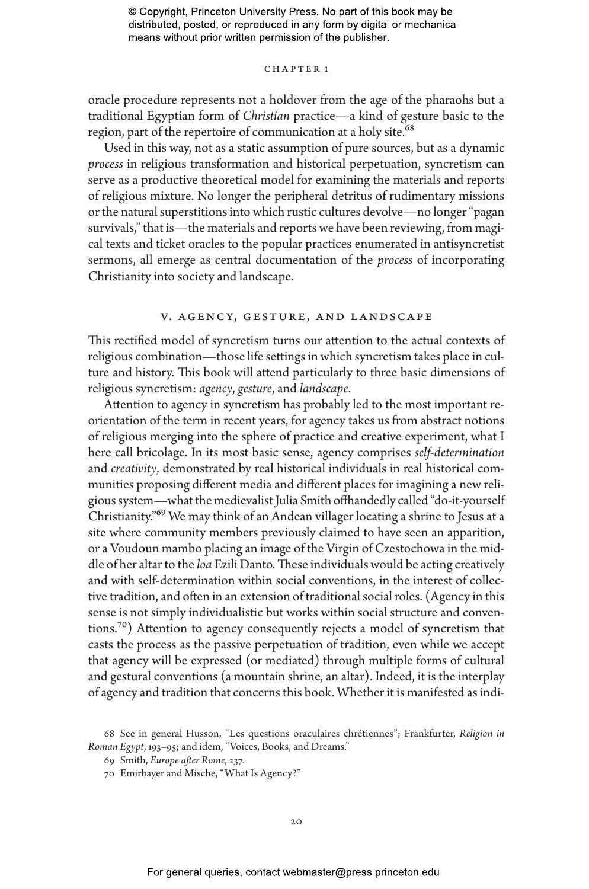#### chapter 1

oracle procedure represents not a holdover from the age of the pharaohs but a traditional Egyptian form of *Christian* practice—a kind of gesture basic to the region, part of the repertoire of communication at a holy site.<sup>68</sup>

Used in this way, not as a static assumption of pure sources, but as a dynamic *process* in religious transformation and historical perpetuation, syncretism can serve as a productive theoretical model for examining the materials and reports of religious mixture. No longer the peripheral detritus of rudimentary missions or the natural superstitions into which rustic cultures devolve—no longer "pagan survivals," that is—the materials and reports we have been reviewing, from magical texts and ticket oracles to the popular practices enumerated in antisyncretist sermons, all emerge as central documentation of the *process* of incorporating Christianity into society and landscape.

#### V. AGENCY, GESTURE, AND LANDSCAPE

This rectified model of syncretism turns our attention to the actual contexts of religious combination—those life settings in which syncretism takes place in culture and history. This book will attend particularly to three basic dimensions of religious syncretism: *agency*, *gesture*, and *landscape*.

Attention to agency in syncretism has probably led to the most important reorientation of the term in recent years, for agency takes us from abstract notions of religious merging into the sphere of practice and creative experiment, what I here call bricolage. In its most basic sense, agency comprises *self-determination* and *creativity*, demonstrated by real historical individuals in real historical communities proposing different media and different places for imagining a new religious system—what the medievalist Julia Smith offhandedly called "do-it-yourself Christianity."69 We may think of an Andean villager locating a shrine to Jesus at a site where community members previously claimed to have seen an apparition, or a Voudoun mambo placing an image of the Virgin of Czestochowa in the middle of her altar to the *loa* Ezili Danto. These individuals would be acting creatively and with self-determination within social conventions, in the interest of collective tradition, and often in an extension of traditional social roles. (Agency in this sense is not simply individualistic but works within social structure and conventions.<sup>70</sup>) Attention to agency consequently rejects a model of syncretism that casts the process as the passive perpetuation of tradition, even while we accept that agency will be expressed (or mediated) through multiple forms of cultural and gestural conventions (a mountain shrine, an altar). Indeed, it is the interplay of agency and tradition that concerns this book. Whether it is manifested as indi-

<sup>68</sup> See in general Husson, "Les questions oraculaires chrétiennes"; Frankfurter, *Religion in Roman Egypt*, 193–95; and idem, "Voices, Books, and Dreams."

<sup>69</sup> Smith, *Europe after Rome*, 237.

<sup>70</sup> Emirbayer and Mische, "What Is Agency?"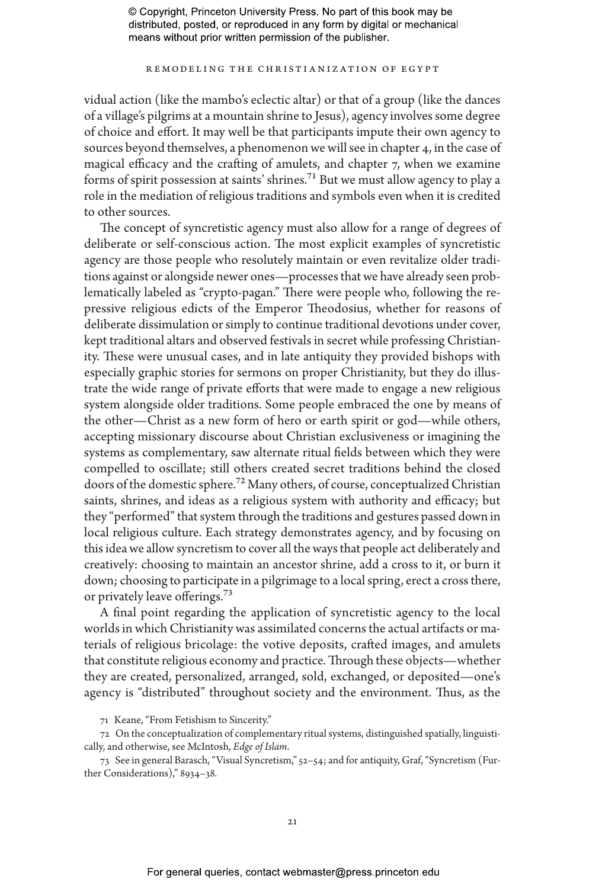REMODELING THE CHRISTIANIZATION OF EGYPT

vidual action (like the mambo's eclectic altar) or that of a group (like the dances of a village's pilgrims at a mountain shrine to Jesus), agency involves some degree of choice and effort. It may well be that participants impute their own agency to sources beyond themselves, a phenomenon we will see in chapter 4, in the case of magical efficacy and the crafting of amulets, and chapter 7, when we examine forms of spirit possession at saints' shrines.71 But we must allow agency to play a role in the mediation of religious traditions and symbols even when it is credited to other sources.

The concept of syncretistic agency must also allow for a range of degrees of deliberate or self-conscious action. The most explicit examples of syncretistic agency are those people who resolutely maintain or even revitalize older traditions against or alongside newer ones—processes that we have already seen problematically labeled as "crypto-pagan." There were people who, following the repressive religious edicts of the Emperor Theodosius, whether for reasons of deliberate dissimulation or simply to continue traditional devotions under cover, kept traditional altars and observed festivals in secret while professing Christianity. These were unusual cases, and in late antiquity they provided bishops with especially graphic stories for sermons on proper Christianity, but they do illustrate the wide range of private efforts that were made to engage a new religious system alongside older traditions. Some people embraced the one by means of the other—Christ as a new form of hero or earth spirit or god—while others, accepting missionary discourse about Christian exclusiveness or imagining the systems as complementary, saw alternate ritual fields between which they were compelled to oscillate; still others created secret traditions behind the closed doors of the domestic sphere.<sup>72</sup> Many others, of course, conceptualized Christian saints, shrines, and ideas as a religious system with authority and efficacy; but they "performed" that system through the traditions and gestures passed down in local religious culture. Each strategy demonstrates agency, and by focusing on this idea we allow syncretism to cover all the ways that people act deliberately and creatively: choosing to maintain an ancestor shrine, add a cross to it, or burn it down; choosing to participate in a pilgrimage to a local spring, erect a cross there, or privately leave offerings.<sup>73</sup>

A final point regarding the application of syncretistic agency to the local worlds in which Christianity was assimilated concerns the actual artifacts or materials of religious bricolage: the votive deposits, crafted images, and amulets that constitute religious economy and practice. Through these objects—whether they are created, personalized, arranged, sold, exchanged, or deposited—one's agency is "distributed" throughout society and the environment. Thus, as the

<sup>71</sup> Keane, "From Fetishism to Sincerity."

<sup>72</sup> On the conceptualization of complementary ritual systems, distinguished spatially, linguistically, and otherwise, see McIntosh, *Edge of Islam*.

<sup>73</sup> See in general Barasch, "Visual Syncretism," 52–54; and for antiquity, Graf, "Syncretism (Further Considerations)," 8934–38.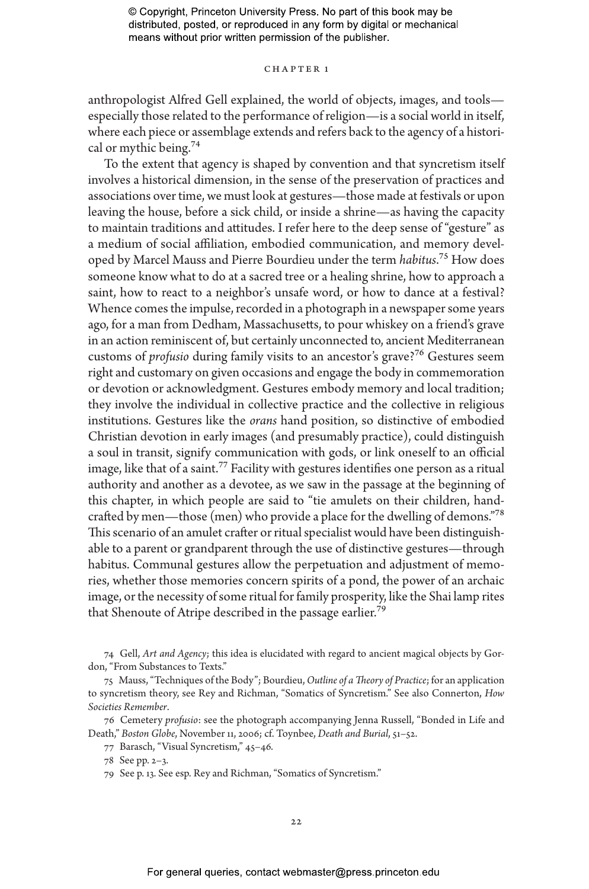#### chapter 1

anthropologist Alfred Gell explained, the world of objects, images, and tools especially those related to the performance of religion—is a social world in itself, where each piece or assemblage extends and refers back to the agency of a historical or mythic being.74

To the extent that agency is shaped by convention and that syncretism itself involves a historical dimension, in the sense of the preservation of practices and associations over time, we must look at gestures—those made at festivals or upon leaving the house, before a sick child, or inside a shrine—as having the capacity to maintain traditions and attitudes. I refer here to the deep sense of "gesture" as a medium of social affiliation, embodied communication, and memory developed by Marcel Mauss and Pierre Bourdieu under the term *habitus*.75 How does someone know what to do at a sacred tree or a healing shrine, how to approach a saint, how to react to a neighbor's unsafe word, or how to dance at a festival? Whence comes the impulse, recorded in a photograph in a newspaper some years ago, for a man from Dedham, Massachusetts, to pour whiskey on a friend's grave in an action reminiscent of, but certainly unconnected to, ancient Mediterranean customs of *profusio* during family visits to an ancestor's grave?76 Gestures seem right and customary on given occasions and engage the body in commemoration or devotion or acknowledgment. Gestures embody memory and local tradition; they involve the individual in collective practice and the collective in religious institutions. Gestures like the *orans* hand position, so distinctive of embodied Christian devotion in early images (and presumably practice), could distinguish a soul in transit, signify communication with gods, or link oneself to an official image, like that of a saint.<sup>77</sup> Facility with gestures identifies one person as a ritual authority and another as a devotee, as we saw in the passage at the beginning of this chapter, in which people are said to "tie amulets on their children, handcrafted by men—those (men) who provide a place for the dwelling of demons."78 This scenario of an amulet crafter or ritual specialist would have been distinguishable to a parent or grandparent through the use of distinctive gestures—through habitus. Communal gestures allow the perpetuation and adjustment of memories, whether those memories concern spirits of a pond, the power of an archaic image, or the necessity of some ritual for family prosperity, like the Shai lamp rites that Shenoute of Atripe described in the passage earlier.<sup>79</sup>

74 Gell, *Art and Agency*; this idea is elucidated with regard to ancient magical objects by Gordon, "From Substances to Texts."

76 Cemetery *profusio*: see the photograph accompanying Jenna Russell, "Bonded in Life and Death," *Boston Globe*, November 11, 2006; cf. Toynbee, *Death and Burial*, 51–52.

77 Barasch, "Visual Syncretism," 45–46.

<sup>75</sup> Mauss, "Techniques of the Body"; Bourdieu, *Outline of a Theory of Practice*; for an application to syncretism theory, see Rey and Richman, "Somatics of Syncretism." See also Connerton, *How Societies Remember*.

<sup>78</sup> See pp. 2–3.

<sup>79</sup> See p. 13. See esp. Rey and Richman, "Somatics of Syncretism."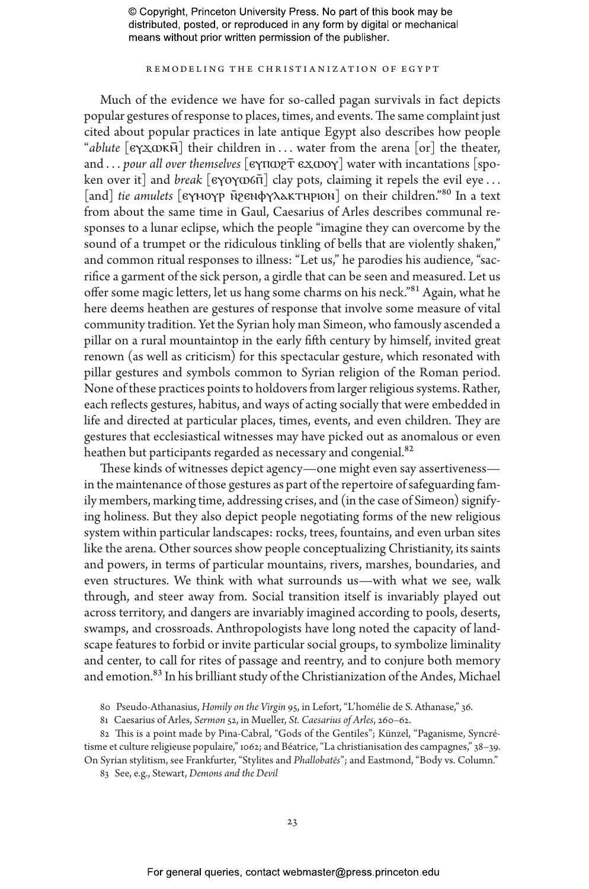#### REMODELING THE CHRISTIANIZATION OF EGYPT

Much of the evidence we have for so-called pagan survivals in fact depicts popular gestures of response to places, times, and events. The same complaint just cited about popular practices in late antique Egypt also describes how people "*ablute* [ⲉⲩϫⲱⲕⲙ̄] their children in . . . water from the arena [or] the theater, and . . . *pour all over themselves* [ⲉⲩⲡⲱϩⲧ̄ ⲉϫⲱⲟⲩ] water with incantations [spoken over it] and *break* [εγογωσπ] clay pots, claiming it repels the evil eye... [and] *tie amulets* [εγμογρ Ñ ενθενόγλλ κτιμριον] on their children."<sup>80</sup> In a text from about the same time in Gaul, Caesarius of Arles describes communal responses to a lunar eclipse, which the people "imagine they can overcome by the sound of a trumpet or the ridiculous tinkling of bells that are violently shaken," and common ritual responses to illness: "Let us," he parodies his audience, "sacrifice a garment of the sick person, a girdle that can be seen and measured. Let us offer some magic letters, let us hang some charms on his neck."<sup>81</sup> Again, what he here deems heathen are gestures of response that involve some measure of vital community tradition. Yet the Syrian holy man Simeon, who famously ascended a pillar on a rural mountaintop in the early fifth century by himself, invited great renown (as well as criticism) for this spectacular gesture, which resonated with pillar gestures and symbols common to Syrian religion of the Roman period. None of these practices points to holdovers from larger religious systems. Rather, each reflects gestures, habitus, and ways of acting socially that were embedded in life and directed at particular places, times, events, and even children. They are gestures that ecclesiastical witnesses may have picked out as anomalous or even heathen but participants regarded as necessary and congenial.<sup>82</sup>

These kinds of witnesses depict agency—one might even say assertiveness in the maintenance of those gestures as part of the repertoire of safeguarding family members, marking time, addressing crises, and (in the case of Simeon) signifying holiness. But they also depict people negotiating forms of the new religious system within particular landscapes: rocks, trees, fountains, and even urban sites like the arena. Other sources show people conceptualizing Christianity, its saints and powers, in terms of particular mountains, rivers, marshes, boundaries, and even structures. We think with what surrounds us—with what we see, walk through, and steer away from. Social transition itself is invariably played out across territory, and dangers are invariably imagined according to pools, deserts, swamps, and crossroads. Anthropologists have long noted the capacity of landscape features to forbid or invite particular social groups, to symbolize liminality and center, to call for rites of passage and reentry, and to conjure both memory and emotion.83 In his brilliant study of the Christianization of the Andes, Michael

80 Pseudo- Athanasius, *Homily on the Virgin* 95, in Lefort, "L'homélie de S. Athanase," 36.

83 See, e.g., Stewart, *Demons and the Devil*

<sup>81</sup> Caesarius of Arles, *Sermon* 52, in Mueller, *St. Caesarius of Arles*, 260–62.

<sup>82</sup> This is a point made by Pina-Cabral, "Gods of the Gentiles"; Künzel, "Paganisme, Syncrétisme et culture religieuse populaire," 1062; and Béatrice, "La christianisation des campagnes," 38-39. On Syrian stylitism, see Frankfurter, "Stylites and *Phallobatēs*"; and Eastmond, "Body vs. Column."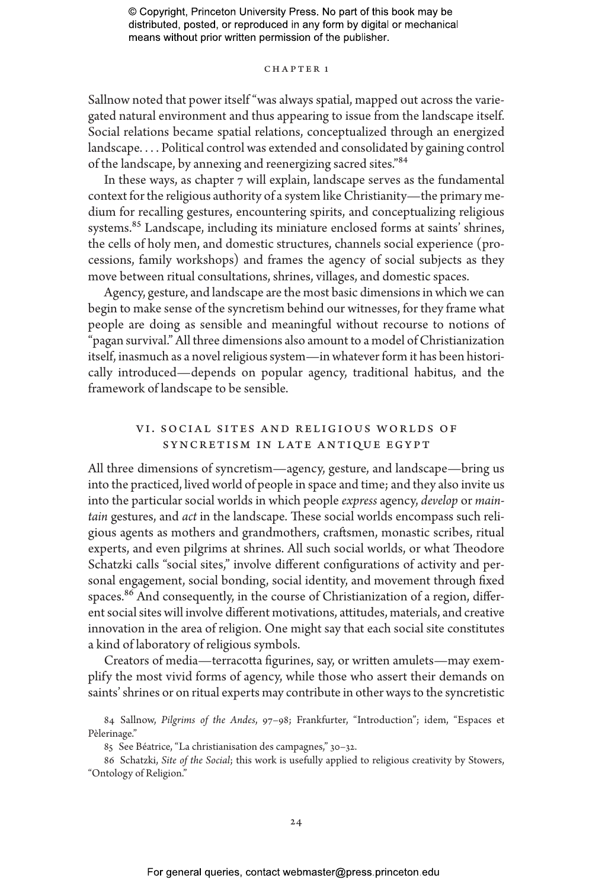#### chapter 1

Sallnow noted that power itself "was always spatial, mapped out across the variegated natural environment and thus appearing to issue from the landscape itself. Social relations became spatial relations, conceptualized through an energized landscape. . . . Political control was extended and consolidated by gaining control of the landscape, by annexing and reenergizing sacred sites."84

In these ways, as chapter 7 will explain, landscape serves as the fundamental context for the religious authority of a system like Christianity—the primary medium for recalling gestures, encountering spirits, and conceptualizing religious systems.<sup>85</sup> Landscape, including its miniature enclosed forms at saints' shrines, the cells of holy men, and domestic structures, channels social experience (processions, family workshops) and frames the agency of social subjects as they move between ritual consultations, shrines, villages, and domestic spaces.

Agency, gesture, and landscape are the most basic dimensions in which we can begin to make sense of the syncretism behind our witnesses, for they frame what people are doing as sensible and meaningful without recourse to notions of "pagan survival." All three dimensions also amount to a model of Christianization itself, inasmuch as a novel religious system—in whatever form it has been historically introduced—depends on popular agency, traditional habitus, and the framework of landscape to be sensible.

## VI. SOCIAL SITES AND RELIGIOUS WORLDS OF Syncretism in Late Antique Egypt

All three dimensions of syncretism—agency, gesture, and landscape—bring us into the practiced, lived world of people in space and time; and they also invite us into the particular social worlds in which people *express* agency, *develop* or *maintain* gestures, and *act* in the landscape. These social worlds encompass such religious agents as mothers and grandmothers, craftsmen, monastic scribes, ritual experts, and even pilgrims at shrines. All such social worlds, or what Theodore Schatzki calls "social sites," involve different configurations of activity and personal engagement, social bonding, social identity, and movement through fixed spaces.<sup>86</sup> And consequently, in the course of Christianization of a region, different social sites will involve different motivations, attitudes, materials, and creative innovation in the area of religion. One might say that each social site constitutes a kind of laboratory of religious symbols.

Creators of media—terracotta figurines, say, or written amulets—may exemplify the most vivid forms of agency, while those who assert their demands on saints' shrines or on ritual experts may contribute in other ways to the syncretistic

86 Schatzki, *Site of the Social*; this work is usefully applied to religious creativity by Stowers, "Ontology of Religion."

<sup>84</sup> Sallnow, *Pilgrims of the Andes*, 97–98; Frankfurter, "Introduction"; idem, "Espaces et Pèlerinage."

<sup>85</sup> See Béatrice, "La christianisation des campagnes," 30–32.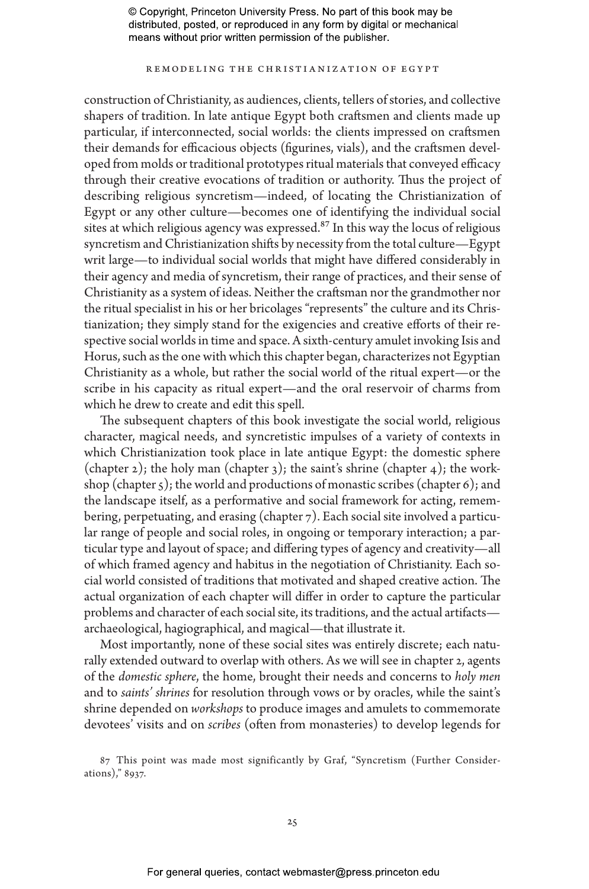#### REMODELING THE CHRISTIANIZATION OF EGYPT

construction of Christianity, as audiences, clients, tellers of stories, and collective shapers of tradition. In late antique Egypt both craftsmen and clients made up particular, if interconnected, social worlds: the clients impressed on craftsmen their demands for efficacious objects (figurines, vials), and the craftsmen developed from molds or traditional prototypes ritual materials that conveyed efficacy through their creative evocations of tradition or authority. Thus the project of describing religious syncretism—indeed, of locating the Christianization of Egypt or any other culture—becomes one of identifying the individual social sites at which religious agency was expressed.<sup>87</sup> In this way the locus of religious syncretism and Christianization shifts by necessity from the total culture—Egypt writ large—to individual social worlds that might have differed considerably in their agency and media of syncretism, their range of practices, and their sense of Christianity as a system of ideas. Neither the craftsman nor the grandmother nor the ritual specialist in his or her bricolages "represents" the culture and its Christianization; they simply stand for the exigencies and creative efforts of their respective social worlds in time and space. A sixth-century amulet invoking Isis and Horus, such as the one with which this chapter began, characterizes not Egyptian Christianity as a whole, but rather the social world of the ritual expert—or the scribe in his capacity as ritual expert—and the oral reservoir of charms from which he drew to create and edit this spell.

The subsequent chapters of this book investigate the social world, religious character, magical needs, and syncretistic impulses of a variety of contexts in which Christianization took place in late antique Egypt: the domestic sphere (chapter 2); the holy man (chapter 3); the saint's shrine (chapter 4); the workshop (chapter  $\zeta$ ); the world and productions of monastic scribes (chapter 6); and the landscape itself, as a performative and social framework for acting, remembering, perpetuating, and erasing (chapter 7). Each social site involved a particular range of people and social roles, in ongoing or temporary interaction; a particular type and layout of space; and differing types of agency and creativity—all of which framed agency and habitus in the negotiation of Christianity. Each social world consisted of traditions that motivated and shaped creative action. The actual organization of each chapter will differ in order to capture the particular problems and character of each social site, its traditions, and the actual artifacts archaeological, hagiographical, and magical—that illustrate it.

Most importantly, none of these social sites was entirely discrete; each naturally extended outward to overlap with others. As we will see in chapter 2, agents of the *domestic sphere*, the home, brought their needs and concerns to *holy men* and to *saints' shrines* for resolution through vows or by oracles, while the saint's shrine depended on *workshops* to produce images and amulets to commemorate devotees' visits and on *scribes* (often from monasteries) to develop legends for

<sup>87</sup> This point was made most significantly by Graf, "Syncretism (Further Considerations)," 8937.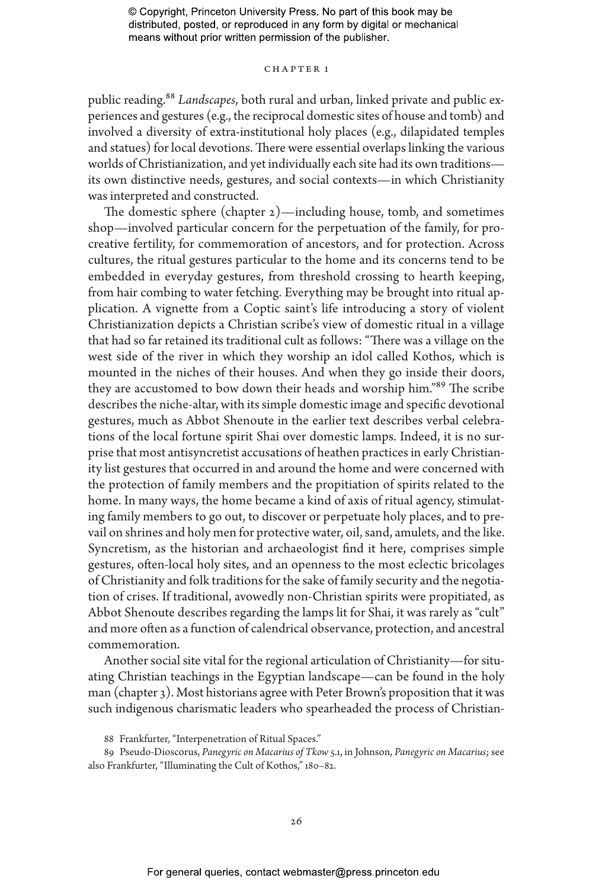#### chapter 1

public reading.88 *Landscapes*, both rural and urban, linked private and public experiences and gestures (e.g., the reciprocal domestic sites of house and tomb) and involved a diversity of extra-institutional holy places (e.g., dilapidated temples and statues) for local devotions. There were essential overlaps linking the various worlds of Christianization, and yet individually each site had its own traditions its own distinctive needs, gestures, and social contexts—in which Christianity was interpreted and constructed.

The domestic sphere (chapter 2)—including house, tomb, and sometimes shop—involved particular concern for the perpetuation of the family, for procreative fertility, for commemoration of ancestors, and for protection. Across cultures, the ritual gestures particular to the home and its concerns tend to be embedded in everyday gestures, from threshold crossing to hearth keeping, from hair combing to water fetching. Everything may be brought into ritual application. A vignette from a Coptic saint's life introducing a story of violent Christianization depicts a Christian scribe's view of domestic ritual in a village that had so far retained its traditional cult as follows: "There was a village on the west side of the river in which they worship an idol called Kothos, which is mounted in the niches of their houses. And when they go inside their doors, they are accustomed to bow down their heads and worship him."<sup>89</sup> The scribe describes the niche-altar, with its simple domestic image and specific devotional gestures, much as Abbot Shenoute in the earlier text describes verbal celebrations of the local fortune spirit Shai over domestic lamps. Indeed, it is no surprise that most antisyncretist accusations of heathen practices in early Christianity list gestures that occurred in and around the home and were concerned with the protection of family members and the propitiation of spirits related to the home. In many ways, the home became a kind of axis of ritual agency, stimulating family members to go out, to discover or perpetuate holy places, and to prevail on shrines and holy men for protective water, oil, sand, amulets, and the like. Syncretism, as the historian and archaeologist find it here, comprises simple gestures, often-local holy sites, and an openness to the most eclectic bricolages of Christianity and folk traditions for the sake of family security and the negotiation of crises. If traditional, avowedly non-Christian spirits were propitiated, as Abbot Shenoute describes regarding the lamps lit for Shai, it was rarely as "cult" and more often as a function of calendrical observance, protection, and ancestral commemoration.

Another social site vital for the regional articulation of Christianity—for situating Christian teachings in the Egyptian landscape—can be found in the holy man (chapter 3). Most historians agree with Peter Brown's proposition that it was such indigenous charismatic leaders who spearheaded the process of Christian-

<sup>88</sup> Frankfurter, "Interpenetration of Ritual Spaces."

<sup>89</sup> Pseudo- Dioscorus, *Panegyric on Macarius of Tkow* 5.1, in Johnson, *Panegyric on Macarius*; see also Frankfurter, "Illuminating the Cult of Kothos," 180–82.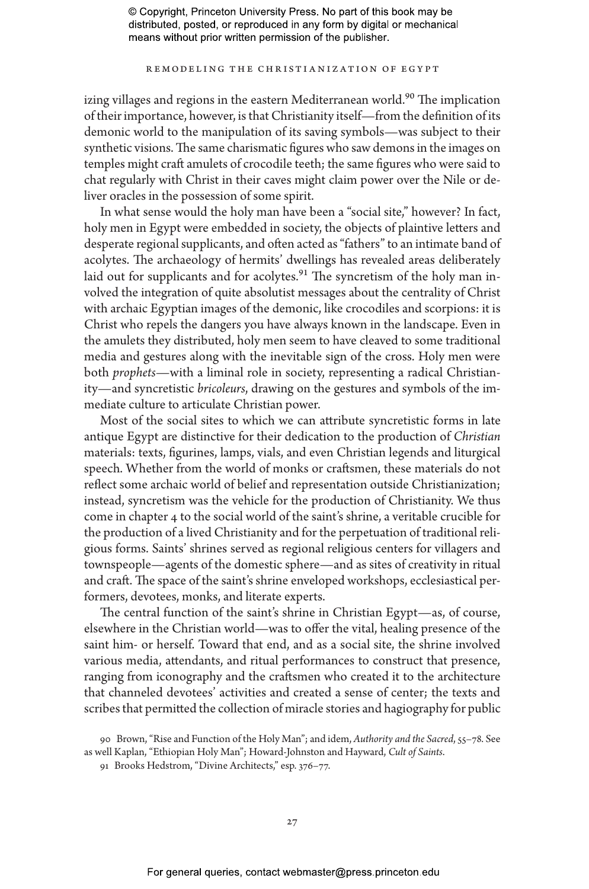REMODELING THE CHRISTIANIZATION OF EGYPT

izing villages and regions in the eastern Mediterranean world.<sup>90</sup> The implication of their importance, however, is that Christianity itself—from the definition of its demonic world to the manipulation of its saving symbols—was subject to their synthetic visions. The same charismatic figures who saw demons in the images on temples might craft amulets of crocodile teeth; the same figures who were said to chat regularly with Christ in their caves might claim power over the Nile or deliver oracles in the possession of some spirit.

In what sense would the holy man have been a "social site," however? In fact, holy men in Egypt were embedded in society, the objects of plaintive letters and desperate regional supplicants, and often acted as "fathers" to an intimate band of acolytes. The archaeology of hermits' dwellings has revealed areas deliberately laid out for supplicants and for acolytes.<sup>91</sup> The syncretism of the holy man involved the integration of quite absolutist messages about the centrality of Christ with archaic Egyptian images of the demonic, like crocodiles and scorpions: it is Christ who repels the dangers you have always known in the landscape. Even in the amulets they distributed, holy men seem to have cleaved to some traditional media and gestures along with the inevitable sign of the cross. Holy men were both *prophets*—with a liminal role in society, representing a radical Christianity—and syncretistic *bricoleurs*, drawing on the gestures and symbols of the immediate culture to articulate Christian power.

Most of the social sites to which we can attribute syncretistic forms in late antique Egypt are distinctive for their dedication to the production of *Christian* materials: texts, figurines, lamps, vials, and even Christian legends and liturgical speech. Whether from the world of monks or craftsmen, these materials do not reflect some archaic world of belief and representation outside Christianization; instead, syncretism was the vehicle for the production of Christianity. We thus come in chapter 4 to the social world of the saint's shrine, a veritable crucible for the production of a lived Christianity and for the perpetuation of traditional religious forms. Saints' shrines served as regional religious centers for villagers and townspeople—agents of the domestic sphere—and as sites of creativity in ritual and craft. The space of the saint's shrine enveloped workshops, ecclesiastical performers, devotees, monks, and literate experts.

The central function of the saint's shrine in Christian Egypt—as, of course, elsewhere in the Christian world—was to offer the vital, healing presence of the saint him- or herself. Toward that end, and as a social site, the shrine involved various media, attendants, and ritual performances to construct that presence, ranging from iconography and the craftsmen who created it to the architecture that channeled devotees' activities and created a sense of center; the texts and scribes that permitted the collection of miracle stories and hagiography for public

<sup>90</sup> Brown, "Rise and Function of the Holy Man"; and idem, *Authority and the Sacred*, 55–78. See as well Kaplan, "Ethiopian Holy Man"; Howard- Johnston and Hayward, *Cult of Saints*.

<sup>91</sup> Brooks Hedstrom, "Divine Architects," esp. 376–77.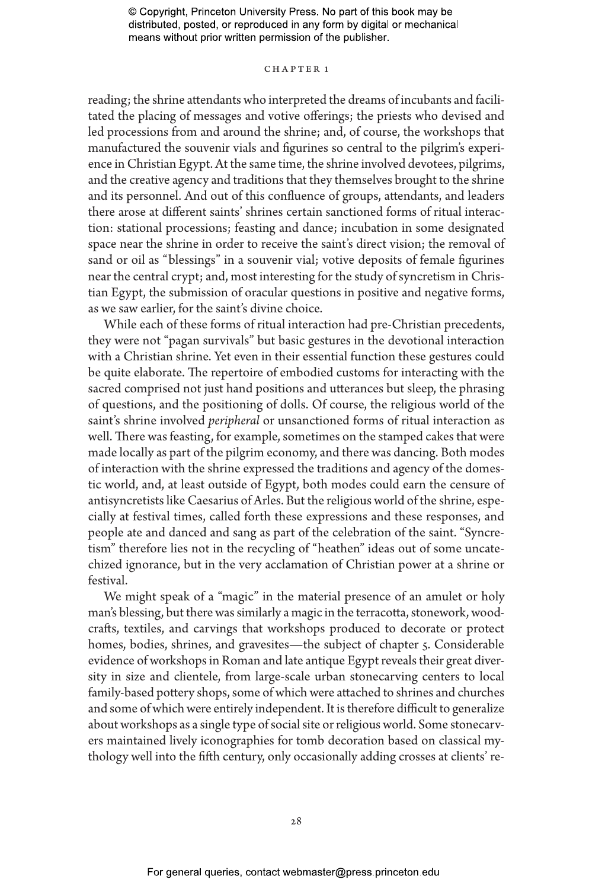#### chapter 1

reading; the shrine attendants who interpreted the dreams of incubants and facilitated the placing of messages and votive offerings; the priests who devised and led processions from and around the shrine; and, of course, the workshops that manufactured the souvenir vials and figurines so central to the pilgrim's experience in Christian Egypt. At the same time, the shrine involved devotees, pilgrims, and the creative agency and traditions that they themselves brought to the shrine and its personnel. And out of this confluence of groups, attendants, and leaders there arose at different saints' shrines certain sanctioned forms of ritual interaction: stational processions; feasting and dance; incubation in some designated space near the shrine in order to receive the saint's direct vision; the removal of sand or oil as "blessings" in a souvenir vial; votive deposits of female figurines near the central crypt; and, most interesting for the study of syncretism in Christian Egypt, the submission of oracular questions in positive and negative forms, as we saw earlier, for the saint's divine choice.

While each of these forms of ritual interaction had pre-Christian precedents, they were not "pagan survivals" but basic gestures in the devotional interaction with a Christian shrine. Yet even in their essential function these gestures could be quite elaborate. The repertoire of embodied customs for interacting with the sacred comprised not just hand positions and utterances but sleep, the phrasing of questions, and the positioning of dolls. Of course, the religious world of the saint's shrine involved *peripheral* or unsanctioned forms of ritual interaction as well. There was feasting, for example, sometimes on the stamped cakes that were made locally as part of the pilgrim economy, and there was dancing. Both modes of interaction with the shrine expressed the traditions and agency of the domestic world, and, at least outside of Egypt, both modes could earn the censure of antisyncretists like Caesarius of Arles. But the religious world of the shrine, especially at festival times, called forth these expressions and these responses, and people ate and danced and sang as part of the celebration of the saint. "Syncretism" therefore lies not in the recycling of "heathen" ideas out of some uncatechized ignorance, but in the very acclamation of Christian power at a shrine or festival.

We might speak of a "magic" in the material presence of an amulet or holy man's blessing, but there was similarly a magic in the terracotta, stonework, woodcrafts, textiles, and carvings that workshops produced to decorate or protect homes, bodies, shrines, and gravesites—the subject of chapter 5. Considerable evidence of workshops in Roman and late antique Egypt reveals their great diversity in size and clientele, from large-scale urban stonecarving centers to local family-based pottery shops, some of which were attached to shrines and churches and some of which were entirely independent. It is therefore difficult to generalize about workshops as a single type of social site or religious world. Some stonecarvers maintained lively iconographies for tomb decoration based on classical mythology well into the fifth century, only occasionally adding crosses at clients' re-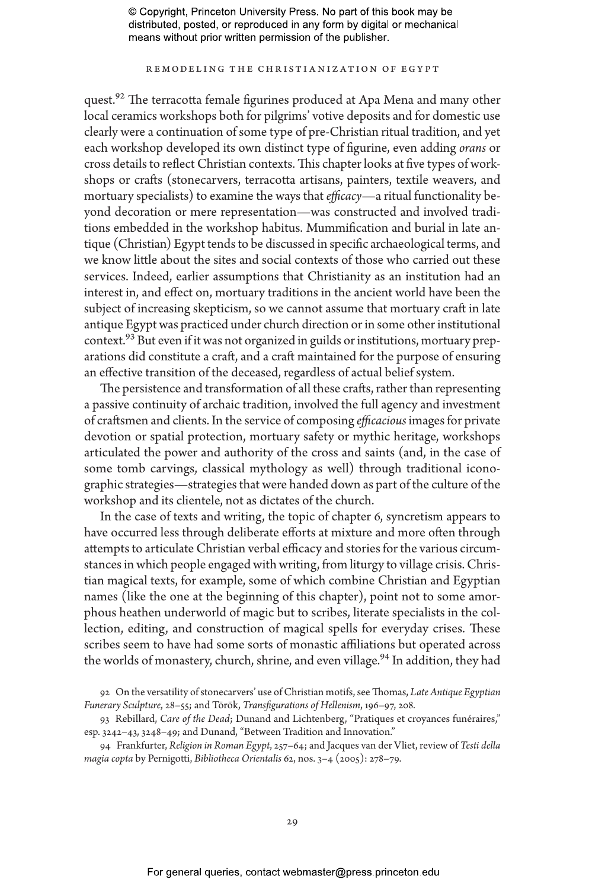REMODELING THE CHRISTIANIZATION OF EGYPT

quest.<sup>92</sup> The terracotta female figurines produced at Apa Mena and many other local ceramics workshops both for pilgrims' votive deposits and for domestic use clearly were a continuation of some type of pre-Christian ritual tradition, and yet each workshop developed its own distinct type of figurine, even adding *orans* or cross details to reflect Christian contexts. This chapter looks at five types of workshops or crafts (stonecarvers, terracotta artisans, painters, textile weavers, and mortuary specialists) to examine the ways that *efficacy*—a ritual functionality beyond decoration or mere representation—was constructed and involved traditions embedded in the workshop habitus. Mummification and burial in late antique (Christian) Egypt tends to be discussed in specific archaeological terms, and we know little about the sites and social contexts of those who carried out these services. Indeed, earlier assumptions that Christianity as an institution had an interest in, and effect on, mortuary traditions in the ancient world have been the subject of increasing skepticism, so we cannot assume that mortuary craft in late antique Egypt was practiced under church direction or in some other institutional context.<sup>93</sup> But even if it was not organized in guilds or institutions, mortuary preparations did constitute a craft, and a craft maintained for the purpose of ensuring an effective transition of the deceased, regardless of actual belief system.

The persistence and transformation of all these crafts, rather than representing a passive continuity of archaic tradition, involved the full agency and investment of craftsmen and clients. In the service of composing *efficacious* images for private devotion or spatial protection, mortuary safety or mythic heritage, workshops articulated the power and authority of the cross and saints (and, in the case of some tomb carvings, classical mythology as well) through traditional iconographic strategies—strategies that were handed down as part of the culture of the workshop and its clientele, not as dictates of the church.

In the case of texts and writing, the topic of chapter 6, syncretism appears to have occurred less through deliberate efforts at mixture and more often through attempts to articulate Christian verbal efficacy and stories for the various circumstances in which people engaged with writing, from liturgy to village crisis. Christian magical texts, for example, some of which combine Christian and Egyptian names (like the one at the beginning of this chapter), point not to some amorphous heathen underworld of magic but to scribes, literate specialists in the collection, editing, and construction of magical spells for everyday crises. These scribes seem to have had some sorts of monastic affiliations but operated across the worlds of monastery, church, shrine, and even village.<sup>94</sup> In addition, they had

<sup>92</sup> On the versatility of stonecarvers' use of Christian motifs, see Thomas, *Late Antique Egyptian Funerary Sculpture*, 28–55; and Török, *Transfigurations of Hellenism*, 196–97, 208.

<sup>93</sup> Rebillard, *Care of the Dead*; Dunand and Lichtenberg, "Pratiques et croyances funéraires," esp. 3242–43, 3248–49; and Dunand, "Between Tradition and Innovation."

<sup>94</sup> Frankfurter, *Religion in Roman Egypt*, 257–64; and Jacques van der Vliet, review of *Testi della magia copta* by Pernigotti, *Bibliotheca Orientalis* 62, nos. 3–4 (2005): 278–79.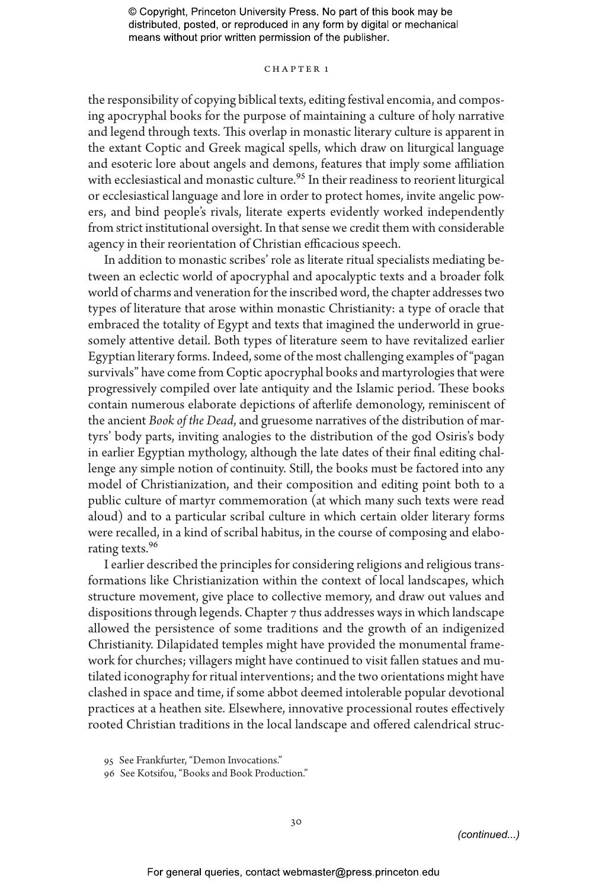#### chapter 1

the responsibility of copying biblical texts, editing festival encomia, and composing apocryphal books for the purpose of maintaining a culture of holy narrative and legend through texts. This overlap in monastic literary culture is apparent in the extant Coptic and Greek magical spells, which draw on liturgical language and esoteric lore about angels and demons, features that imply some affiliation with ecclesiastical and monastic culture.<sup>95</sup> In their readiness to reorient liturgical or ecclesiastical language and lore in order to protect homes, invite angelic powers, and bind people's rivals, literate experts evidently worked independently from strict institutional oversight. In that sense we credit them with considerable agency in their reorientation of Christian efficacious speech.

In addition to monastic scribes' role as literate ritual specialists mediating between an eclectic world of apocryphal and apocalyptic texts and a broader folk world of charms and veneration for the inscribed word, the chapter addresses two types of literature that arose within monastic Christianity: a type of oracle that embraced the totality of Egypt and texts that imagined the underworld in gruesomely attentive detail. Both types of literature seem to have revitalized earlier Egyptian literary forms. Indeed, some of the most challenging examples of "pagan survivals" have come from Coptic apocryphal books and martyrologies that were progressively compiled over late antiquity and the Islamic period. These books contain numerous elaborate depictions of afterlife demonology, reminiscent of the ancient *Book of the Dead*, and gruesome narratives of the distribution of martyrs' body parts, inviting analogies to the distribution of the god Osiris's body in earlier Egyptian mythology, although the late dates of their final editing challenge any simple notion of continuity. Still, the books must be factored into any model of Christianization, and their composition and editing point both to a public culture of martyr commemoration (at which many such texts were read aloud) and to a particular scribal culture in which certain older literary forms were recalled, in a kind of scribal habitus, in the course of composing and elaborating texts.<sup>96</sup>

I earlier described the principles for considering religions and religious transformations like Christianization within the context of local landscapes, which structure movement, give place to collective memory, and draw out values and dispositions through legends. Chapter 7 thus addresses ways in which landscape allowed the persistence of some traditions and the growth of an indigenized Christianity. Dilapidated temples might have provided the monumental framework for churches; villagers might have continued to visit fallen statues and mutilated iconography for ritual interventions; and the two orientations might have clashed in space and time, if some abbot deemed intolerable popular devotional practices at a heathen site. Elsewhere, innovative processional routes effectively rooted Christian traditions in the local landscape and offered calendrical struc-

*(continued...)*

<sup>95</sup> See Frankfurter, "Demon Invocations."

<sup>96</sup> See Kotsifou, "Books and Book Production."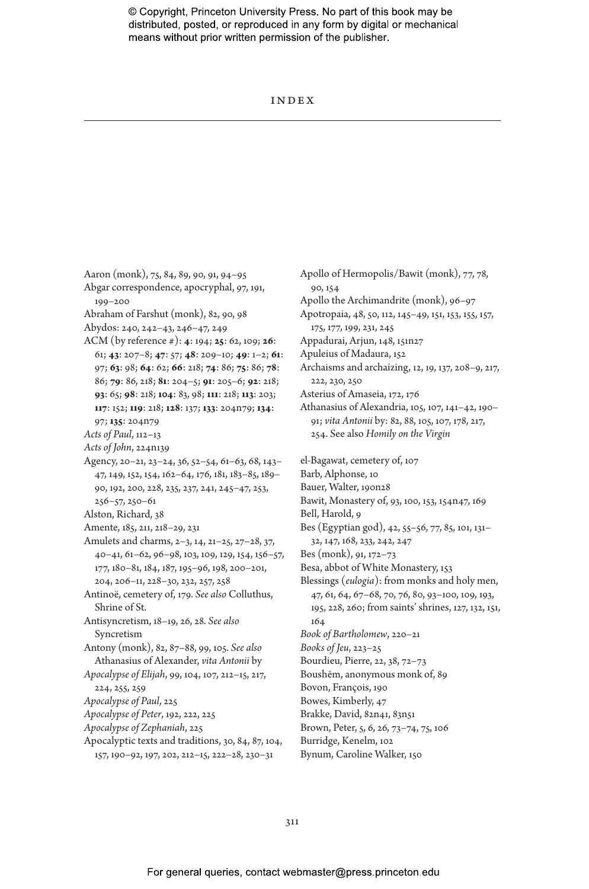Aaron (monk), 75, 84, 89, 90, 91, 94–95 Abgar correspondence, apocryphal, 97, 191, 199–200 Abraham of Farshut (monk), 82, 90, 98 Abydos: 240, 242–43, 246–47, 249 ACM (by reference #): **4**: 194; **25**: 62, 109; **26**: 61; **43**: 207–8; **47**: 57; **48**: 209–10; **49**: 1–2; **61**: 97; **63**: 98; **64**: 62; **66**: 218; **74**: 86; **75**: 86; **78**: 86; **79**: 86, 218; **81**: 204–5; **91**: 205–6; **92**: 218; **93**: 65; **98**: 218; **104**: 83, 98; **111**: 218; **113**: 203; **117**: 152; **119**: 218; **128**: 137; **133**: 204n79; **134**: 97; **135**: 204n79 *Acts of Paul*, 112–13 *Acts of John*, 224n139 Agency, 20–21, 23–24, 36, 52–54, 61–63, 68, 143– 47, 149, 152, 154, 162–64, 176, 181, 183–85, 189– 90, 192, 200, 228, 235, 237, 241, 245–47, 253, 256–57, 250–61 Alston, Richard, 38 Amente, 185, 211, 218–29, 231 Amulets and charms, 2–3, 14, 21–25, 27–28, 37, 40–41, 61–62, 96–98, 103, 109, 129, 154, 156–57, 177, 180–81, 184, 187, 195–96, 198, 200–201, 204, 206–11, 228–30, 232, 257, 258 Antinoë, cemetery of, 179. *See also* Colluthus, Shrine of St. Antisyncretism, 18–19, 26, 28. *See also* Syncretism Antony (monk), 82, 87–88, 99, 105. *See also* Athanasius of Alexander, *vita Antonii* by *Apocalypse of Elijah*, 99, 104, 107, 212–15, 217, 224, 255, 259 *Apocalypse of Paul*, 225 *Apocalypse of Peter*, 192, 222, 225 *Apocalypse of Zephaniah*, 225 Apocalyptic texts and traditions, 30, 84, 87, 104, 157, 190–92, 197, 202, 212–15, 222–28, 230–31

Apollo of Hermopolis/Bawit (monk), 77, 78, 90, 154 Apollo the Archimandrite (monk), 96–97 Apotropaia, 48, 50, 112, 145–49, 151, 153, 155, 157, 175, 177, 199, 231, 245 Appadurai, Arjun, 148, 151n27 Apuleius of Madaura, 152 Archaisms and archaizing, 12, 19, 137, 208–9, 217, 222, 230, 250 Asterius of Amaseia, 172, 176 Athanasius of Alexandria, 105, 107, 141–42, 190– 91; *vita Antonii* by: 82, 88, 105, 107, 178, 217, 254. See also *Homily on the Virgin* el-Bagawat, cemetery of, 107 Barb, Alphonse, 10 Bauer, Walter, 190n28 Bawit, Monastery of, 93, 100, 153, 154n47, 169 Bell, Harold, 9 Bes (Egyptian god), 42, 55–56, 77, 85, 101, 131– 32, 147, 168, 233, 242, 247 Bes (monk), 91, 172–73 Besa, abbot of White Monastery, 153 Blessings (*eulogia*): from monks and holy men, 47, 61, 64, 67–68, 70, 76, 80, 93–100, 109, 193, 195, 228, 260; from saints' shrines, 127, 132, 151, 164 *Book of Bartholomew*, 220–21 *Books of Jeu*, 223–25 Bourdieu, Pierre, 22, 38, 72–73 Boushēm, anonymous monk of, 89 Bovon, François, 190 Bowes, Kimberly, 47 Brakke, David, 82n41, 83n51 Brown, Peter, 5, 6, 26, 73–74, 75, 106 Burridge, Kenelm, 102 Bynum, Caroline Walker, 150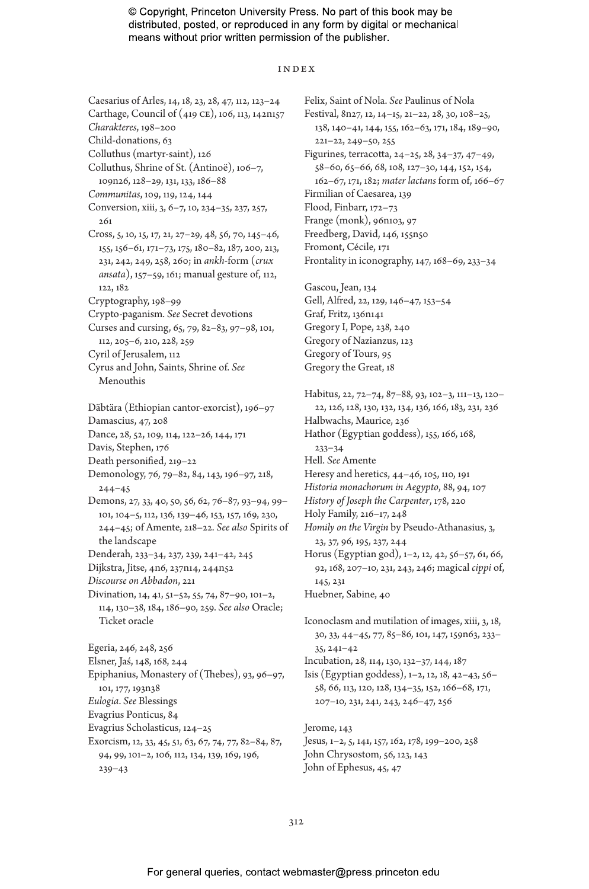#### index

Caesarius of Arles, 14, 18, 23, 28, 47, 112, 123–24 Carthage, Council of (419 ce), 106, 113, 142n157 *Charakteres*, 198–200 Child-donations, 63 Colluthus (martyr-saint), 126 Colluthus, Shrine of St. (Antinoë), 106–7, 109n26, 128–29, 131, 133, 186–88 *Communitas*, 109, 119, 124, 144 Conversion, xiii, 3, 6–7, 10, 234–35, 237, 257, 261 Cross, 5, 10, 15, 17, 21, 27–29, 48, 56, 70, 145–46, 155, 156–61, 171–73, 175, 180–82, 187, 200, 213, 231, 242, 249, 258, 260; in *ankh*-form (*crux ansata*), 157–59, 161; manual gesture of, 112, 122, 182 Cryptography, 198–99 Crypto-paganism. *See* Secret devotions Curses and cursing, 65, 79, 82–83, 97–98, 101, 112, 205–6, 210, 228, 259 Cyril of Jerusalem, 112 Cyrus and John, Saints, Shrine of. *See* Menouthis Däbtära (Ethiopian cantor-exorcist), 196–97 Damascius, 47, 208 Dance, 28, 52, 109, 114, 122–26, 144, 171 Davis, Stephen, 176 Death personified, 219–22 Demonology, 76, 79–82, 84, 143, 196–97, 218, 244–45 Demons, 27, 33, 40, 50, 56, 62, 76–87, 93–94, 99– 101, 104–5, 112, 136, 139–46, 153, 157, 169, 230, 244–45; of Amente, 218–22. *See also* Spirits of the landscape Denderah, 233–34, 237, 239, 241–42, 245 Dijkstra, Jitse, 4n6, 237n14, 244n52 *Discourse on Abbadon*, 221 Divination, 14, 41, 51–52, 55, 74, 87–90, 101–2, 114, 130–38, 184, 186–90, 259. *See also* Oracle; Ticket oracle Egeria, 246, 248, 256 Elsner, Jaś, 148, 168, 244 Epiphanius, Monastery of (Thebes), 93, 96–97, 101, 177, 193n38 *Eulogia*. *See* Blessings Evagrius Ponticus, 84 Evagrius Scholasticus, 124–25 Exorcism, 12, 33, 45, 51, 63, 67, 74, 77, 82–84, 87, 94, 99, 101–2, 106, 112, 134, 139, 169, 196, 239–43

Felix, Saint of Nola. *See* Paulinus of Nola Festival, 8n27, 12, 14–15, 21–22, 28, 30, 108–25, 138, 140–41, 144, 155, 162–63, 171, 184, 189–90, 221–22, 249–50, 255 Figurines, terracotta, 24–25, 28, 34–37, 47–49, 58–60, 65–66, 68, 108, 127–30, 144, 152, 154, 162–67, 171, 182; *mater lactans* form of, 166–67 Firmilian of Caesarea, 139 Flood, Finbarr, 172–73 Frange (monk), 96n103, 97 Freedberg, David, 146, 155n50 Fromont, Cécile, 171 Frontality in iconography, 147, 168–69, 233–34 Gascou, Jean, 134 Gell, Alfred, 22, 129, 146–47, 153–54 Graf, Fritz, 136n141 Gregory I, Pope, 238, 240 Gregory of Nazianzus, 123 Gregory of Tours, 95 Gregory the Great, 18 Habitus, 22, 72–74, 87–88, 93, 102–3, 111–13, 120– 22, 126, 128, 130, 132, 134, 136, 166, 183, 231, 236 Halbwachs, Maurice, 236 Hathor (Egyptian goddess), 155, 166, 168, 233–34 Hell. *See* Amente Heresy and heretics, 44–46, 105, 110, 191 *Historia monachorum in Aegypto*, 88, 94, 107 *History of Joseph the Carpenter*, 178, 220 Holy Family, 216–17, 248 *Homily on the Virgin* by Pseudo-Athanasius, 3, 23, 37, 96, 195, 237, 244 Horus (Egyptian god), 1–2, 12, 42, 56–57, 61, 66, 92, 168, 207–10, 231, 243, 246; magical *cippi* of, 145, 231 Huebner, Sabine, 40 Iconoclasm and mutilation of images, xiii, 3, 18, 30, 33, 44–45, 77, 85–86, 101, 147, 159n63, 233–

35, 241–42 Incubation, 28, 114, 130, 132–37, 144, 187

Isis (Egyptian goddess), 1–2, 12, 18, 42–43, 56– 58, 66, 113, 120, 128, 134–35, 152, 166–68, 171, 207–10, 231, 241, 243, 246–47, 256

Jerome, 143 Jesus, 1–2, 5, 141, 157, 162, 178, 199–200, 258 John Chrysostom, 56, 123, 143 John of Ephesus, 45, 47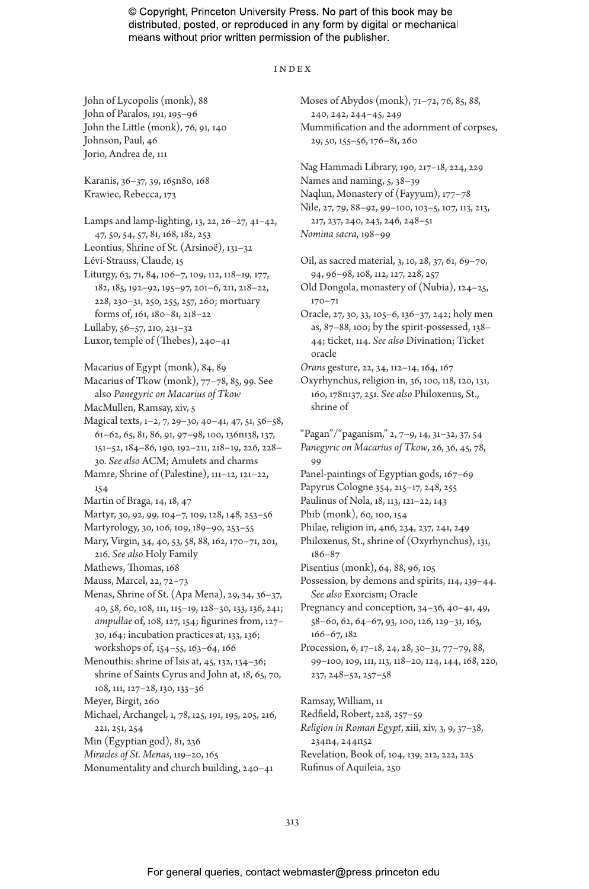#### index

John of Lycopolis (monk), 88 John of Paralos, 191, 195–96 John the Little (monk), 76, 91, 140 Johnson, Paul, 46 Jorio, Andrea de, 111

Karanis, 36–37, 39, 165n80, 168 Krawiec, Rebecca, 173

Lamps and lamp-lighting, 13, 22, 26–27, 41–42, 47, 50, 54, 57, 81, 168, 182, 253 Leontius, Shrine of St. (Arsinoë), 131–32 Lévi-Strauss, Claude, 15 Liturgy, 63, 71, 84, 106–7, 109, 112, 118–19, 177, 182, 185, 192–92, 195–97, 201–6, 211, 218–22, 228, 230–31, 250, 255, 257, 260; mortuary forms of, 161, 180–81, 218–22 Lullaby, 56–57, 210, 231–32

Luxor, temple of (Thebes), 240–41

Macarius of Egypt (monk), 84, 89 Macarius of Tkow (monk), 77–78, 85, 99. See also *Panegyric on Macarius of Tkow*

MacMullen, Ramsay, xiv, 5

Magical texts, 1–2, 7, 29–30, 40–41, 47, 51, 56–58, 61–62, 65, 81, 86, 91, 97–98, 100, 136n138, 137, 151–52, 184–86, 190, 192–211, 218–19, 226, 228– 30. *See also* ACM; Amulets and charms

Mamre, Shrine of (Palestine), 111–12, 121–22, 154

Martin of Braga, 14, 18, 47

Martyr, 30, 92, 99, 104–7, 109, 128, 148, 253–56

Martyrology, 30, 106, 109, 189–90, 253–55

Mary, Virgin, 34, 40, 53, 58, 88, 162, 170–71, 201, 216. *See also* Holy Family

Mathews, Thomas, 168 Mauss, Marcel, 22, 72–73

- Menas, Shrine of St. (Apa Mena), 29, 34, 36–37, 40, 58, 60, 108, 111, 115–19, 128–30, 133, 136, 241; *ampullae* of, 108, 127, 154; figurines from, 127– 30, 164; incubation practices at, 133, 136; workshops of, 154–55, 163–64, 166
- Menouthis: shrine of Isis at, 45, 132, 134–36; shrine of Saints Cyrus and John at, 18, 65, 70, 108, 111, 127–28, 130, 133–36

Meyer, Birgit, 260

Michael, Archangel, 1, 78, 125, 191, 195, 205, 216, 221, 251, 254

Min (Egyptian god), 81, 236

*Miracles of St. Menas*, 119–20, 165

Monumentality and church building, 240–41

Moses of Abydos (monk), 71–72, 76, 85, 88, 240, 242, 244–45, 249 Mummification and the adornment of corpses, 29, 50, 155–56, 176–81, 260

Nag Hammadi Library, 190, 217–18, 224, 229 Names and naming, 5, 38–39 Naqlun, Monastery of (Fayyum), 177–78 Nile, 27, 79, 88–92, 99–100, 103–5, 107, 113, 213, 217, 237, 240, 243, 246, 248–51 *Nomina sacra*, 198–99

Oil, as sacred material, 3, 10, 28, 37, 61, 69–70, 94, 96–98, 108, 112, 127, 228, 257 Old Dongola, monastery of (Nubia), 124–25,

170–71

Oracle, 27, 30, 33, 105–6, 136–37, 242; holy men as, 87–88, 100; by the spirit-possessed, 138– 44; ticket, 114. *See also* Divination; Ticket oracle

*Orans* gesture, 22, 34, 112–14, 164, 167

Oxyrhynchus, religion in, 36, 100, 118, 120, 131, 160, 178n137, 251. *See also* Philoxenus, St., shrine of

"Pagan"/"paganism," 2, 7–9, 14, 31–32, 37, 54 *Panegyric on Macarius of Tkow*, 26, 36, 45, 78, 99 Panel-paintings of Egyptian gods, 167–69 Papyrus Cologne 354, 215–17, 248, 255 Paulinus of Nola, 18, 113, 121–22, 143

Phib (monk), 60, 100, 154

Philae, religion in, 4n6, 234, 237, 241, 249

Philoxenus, St., shrine of (Oxyrhynchus), 131, 186–87

Pisentius (monk), 64, 88, 96, 105

Possession, by demons and spirits, 114, 139–44. *See also* Exorcism; Oracle

Pregnancy and conception, 34–36, 40–41, 49, 58–60, 62, 64–67, 93, 100, 126, 129–31, 163, 166–67, 182

Procession, 6, 17–18, 24, 28, 30–31, 77–79, 88, 99–100, 109, 111, 113, 118–20, 124, 144, 168, 220, 237, 248–52, 257–58

Ramsay, William, 11

Redfield, Robert, 228, 257–59

*Religion in Roman Egypt*, xiii, xiv, 3, 9, 37–38, 234n4, 244n52

Revelation, Book of, 104, 139, 212, 222, 225 Rufinus of Aquileia, 250

313